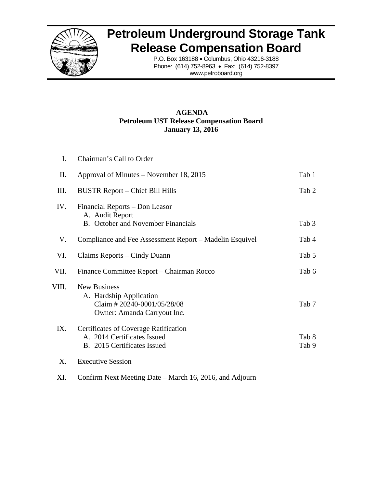

# **Petroleum Underground Storage Tank Release Compensation Board**

P.O. Box 163188 • Columbus, Ohio 43216-3188 Phone: (614) 752-8963 • Fax: (614) 752-8397 www.petroboard.org

# **AGENDA Petroleum UST Release Compensation Board January 13, 2016**

| I.    | Chairman's Call to Order                                                                                    |                |
|-------|-------------------------------------------------------------------------------------------------------------|----------------|
| П.    | Approval of Minutes – November 18, 2015                                                                     | Tab 1          |
| Ш.    | <b>BUSTR Report – Chief Bill Hills</b>                                                                      | Tab 2          |
| IV.   | Financial Reports – Don Leasor<br>A. Audit Report<br><b>B.</b> October and November Financials              | Tab 3          |
| V.    | Compliance and Fee Assessment Report – Madelin Esquivel                                                     | Tab 4          |
| VI.   | Claims Reports – Cindy Duann                                                                                | Tab 5          |
| VII.  | Finance Committee Report - Chairman Rocco                                                                   | Tab 6          |
| VIII. | <b>New Business</b><br>A. Hardship Application<br>Claim #20240-0001/05/28/08<br>Owner: Amanda Carryout Inc. | Tab 7          |
| IX.   | <b>Certificates of Coverage Ratification</b><br>A. 2014 Certificates Issued<br>B. 2015 Certificates Issued  | Tab 8<br>Tab 9 |
| X.    | <b>Executive Session</b>                                                                                    |                |

XI. Confirm Next Meeting Date – March 16, 2016, and Adjourn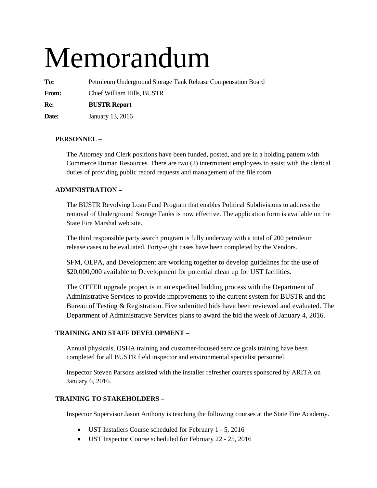# Memorandum

**To:** Petroleum Underground Storage Tank Release Compensation Board

**From:** Chief William Hills, BUSTR

**Re: BUSTR Report** 

**Date:** January 13, 2016

# **PERSONNEL –**

The Attorney and Clerk positions have been funded, posted, and are in a holding pattern with Commerce Human Resources. There are two (2) intermittent employees to assist with the clerical duties of providing public record requests and management of the file room.

# **ADMINISTRATION –**

The BUSTR Revolving Loan Fund Program that enables Political Subdivisions to address the removal of Underground Storage Tanks is now effective. The application form is available on the State Fire Marshal web site.

The third responsible party search program is fully underway with a total of 200 petroleum release cases to be evaluated. Forty-eight cases have been completed by the Vendors.

SFM, OEPA, and Development are working together to develop guidelines for the use of \$20,000,000 available to Development for potential clean up for UST facilities.

The OTTER upgrade project is in an expedited bidding process with the Department of Administrative Services to provide improvements to the current system for BUSTR and the Bureau of Testing & Registration. Five submitted bids have been reviewed and evaluated. The Department of Administrative Services plans to award the bid the week of January 4, 2016.

# **TRAINING AND STAFF DEVELOPMENT –**

Annual physicals, OSHA training and customer-focused service goals training have been completed for all BUSTR field inspector and environmental specialist personnel.

Inspector Steven Parsons assisted with the installer refresher courses sponsored by ARITA on January 6, 2016.

# **TRAINING TO STAKEHOLDERS** –

Inspector Supervisor Jason Anthony is teaching the following courses at the State Fire Academy.

- UST Installers Course scheduled for February 1 5, 2016
- UST Inspector Course scheduled for February 22 25, 2016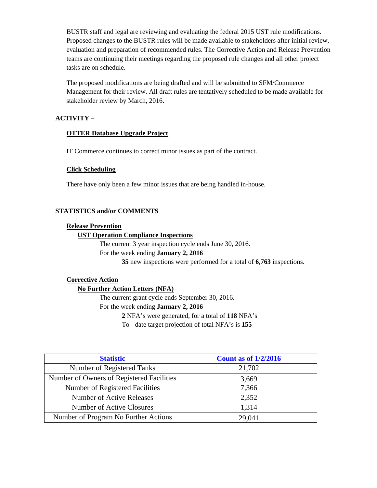BUSTR staff and legal are reviewing and evaluating the federal 2015 UST rule modifications. Proposed changes to the BUSTR rules will be made available to stakeholders after initial review, evaluation and preparation of recommended rules. The Corrective Action and Release Prevention teams are continuing their meetings regarding the proposed rule changes and all other project tasks are on schedule.

The proposed modifications are being drafted and will be submitted to SFM/Commerce Management for their review. All draft rules are tentatively scheduled to be made available for stakeholder review by March, 2016.

# **ACTIVITY –**

# **OTTER Database Upgrade Project**

IT Commerce continues to correct minor issues as part of the contract.

# **Click Scheduling**

There have only been a few minor issues that are being handled in-house.

# **STATISTICS and/or COMMENTS**

#### **Release Prevention**

#### **UST Operation Compliance Inspections**

The current 3 year inspection cycle ends June 30, 2016.

For the week ending **January 2, 2016** 

**35** new inspections were performed for a total of **6,763** inspections.

#### **Corrective Action**

#### **No Further Action Letters (NFA)**

The current grant cycle ends September 30, 2016. For the week ending **January 2, 2016 2** NFA's were generated, for a total of **118** NFA's

To - date target projection of total NFA's is **155** 

| <b>Statistic</b>                          | <b>Count as of 1/2/2016</b> |
|-------------------------------------------|-----------------------------|
| Number of Registered Tanks                | 21,702                      |
| Number of Owners of Registered Facilities | 3,669                       |
| Number of Registered Facilities           | 7,366                       |
| Number of Active Releases                 | 2,352                       |
| Number of Active Closures                 | 1,314                       |
| Number of Program No Further Actions      | 29,041                      |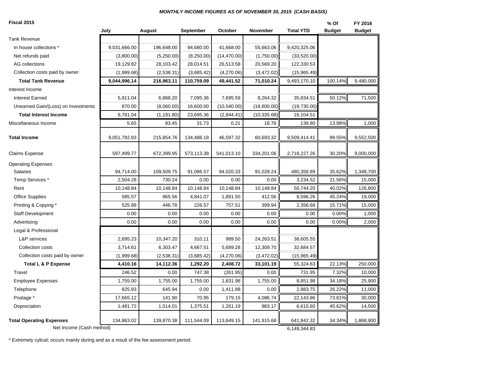#### *MONTHLY INCOME FIGURES AS OF NOVEMBER 30, 2015 (CASH BASIS)*

| Fiscal 2015                                                 |              |             |                  |              |              |                            | $%$ Of        | FY 2016       |
|-------------------------------------------------------------|--------------|-------------|------------------|--------------|--------------|----------------------------|---------------|---------------|
|                                                             | July         | August      | <b>September</b> | October      | November     | <b>Total YTD</b>           | <b>Budget</b> | <b>Budget</b> |
| <b>Tank Revenue</b>                                         |              |             |                  |              |              |                            |               |               |
| In house collections *                                      | 9,031,666.00 | 196,648.00  | 94,680.00        | 41,668.00    | 55,663.06    | 9,420,325.06               |               |               |
| Net refunds paid                                            | (3,800.00)   | (5,250.00)  | (8,250.00)       | (14, 470.00) | (1,750.00)   | (33,520.00)                |               |               |
| AG collections                                              | 19,129.82    | 28,103.42   | 28,014.51        | 26,513.58    | 20,569.20    | 122,330.53                 |               |               |
| Collection costs paid by owner                              | (1,999.68)   | (2,538.31)  | (3,685.42)       | (4,270.06)   | (3,472.02)   | (15,965.49)                |               |               |
| <b>Total Tank Revenue</b>                                   | 9,044,996.14 | 216,963.11  | 110,759.09       | 49,441.52    | 71,010.24    | 9,493,170.10               | 100.14%       | 9,480,000     |
| Interest Income                                             |              |             |                  |              |              |                            |               |               |
| <b>Interest Earned</b>                                      | 5,911.04     | 6,868.20    | 7,095.36         | 7,695.59     | 8,264.32     | 35,834.51                  | 50.12%        | 71,500        |
| Unearned Gain/(Loss) on Investments                         | 870.00       | (8,060.00)  | 16,600.00        | (10, 540.00) | (18,600.00)  | (19,730.00)                |               |               |
| <b>Total Interest Income</b>                                | 6,781.04     | (1, 191.80) | 23,695.36        | (2,844.41)   | (10, 335.68) | 16,104.51                  |               |               |
| Miscellaneous Income                                        | 5.65         | 83.45       | 31.73            | 0.21         | 18.76        | 139.80                     | 13.98%        | 1,000         |
| <b>Total Income</b>                                         | 9,051,782.83 | 215,854.76  | 134,486.18       | 46,597.32    | 60,693.32    | 9,509,414.41               | 99.55%        | 9,552,500     |
| <b>Claims Expense</b>                                       | 597,499.77   | 672,399.95  | 573,113.38       | 541,013.10   | 334,201.06   | 2,718,227.26               | 30.20%        | 9,000,000     |
| <b>Operating Expenses</b>                                   |              |             |                  |              |              |                            |               |               |
| <b>Salaries</b>                                             | 94,714.00    | 109,509.75  | 91,086.57        | 94,020.33    | 91,028.24    | 480,358.89                 | 35.62%        | 1,348,700     |
| Temp Services *                                             | 2,504.28     | 730.24      | 0.00             | 0.00         | 0.00         | 3,234.52                   | 21.56%        | 15,000        |
| Rent                                                        | 10,148.84    | 10,148.84   | 10,148.84        | 10,148.84    | 10,148.84    | 50,744.20                  | 40.02%        | 126,800       |
| <b>Office Supplies</b>                                      | 585.57       | 865.56      | 4,841.07         | 1,891.50     | 412.56       | 8,596.26                   | 45.24%        | 19,000        |
| Printing & Copying *                                        | 525.88       | 446.78      | 226.57           | 757.51       | 399.94       | 2,356.68                   | 15.71%        | 15,000        |
| <b>Staff Development</b>                                    | 0.00         | 0.00        | 0.00             | 0.00         | 0.00         | 0.00                       | 0.00%         | 1,000         |
| Advertising                                                 | 0.00         | 0.00        | 0.00             | 0.00         | 0.00         | 0.00                       | 0.00%         | 2,000         |
| Legal & Professional                                        |              |             |                  |              |              |                            |               |               |
| <b>L&amp;P</b> services                                     | 2,695.23     | 10,347.20   | 310.11           | 989.50       | 24,263.51    | 38,605.55                  |               |               |
| Collection costs                                            | 3,714.61     | 6,303.47    | 4,667.51         | 5,689.28     | 12,309.70    | 32,684.57                  |               |               |
| Collection costs paid by owner                              | (1,999.68)   | (2,538.31)  | (3,685.42)       | (4,270.06)   | (3,472.02)   | (15,965.49)                |               |               |
| <b>Total L &amp; P Expense</b>                              | 4,410.16     | 14,112.36   | 1,292.20         | 2,408.72     | 33,101.19    | 55,324.63                  | 22.13%        | 250,000       |
| Travel                                                      | 246.52       | 0.00        | 747.38           | (261.95)     | 0.00         | 731.95                     | 7.32%         | 10,000        |
| <b>Employee Expenses</b>                                    | 1,755.00     | 1,755.00    | 1,755.00         | 1,831.98     | 1,755.00     | 8,851.98                   | 34.18%        | 25,900        |
| Telephone                                                   | 825.93       | 645.94      | 0.00             | 1,411.88     | 0.00         | 2,883.75                   | 26.22%        | 11,000        |
| Postage *                                                   | 17,665.12    | 141.90      | 70.95            | 179.15       | 4,086.74     | 22,143.86                  | 73.81%        | 30,000        |
| Depreciation                                                | 1,481.72     | 1,514.01    | 1,375.51         | 1,261.19     | 983.17       | 6,615.60                   | 45.62%        | 14,500        |
| <b>Total Operating Expenses</b><br>Net Income (Cash method) | 134,863.02   | 139,870.38  | 111,544.09       | 113,649.15   | 141,915.68   | 641,842.32<br>6,149,344.83 | 34.34%        | 1,868,900     |

\* Extremely cylical; occurs mainly during and as a result of the fee assessment period.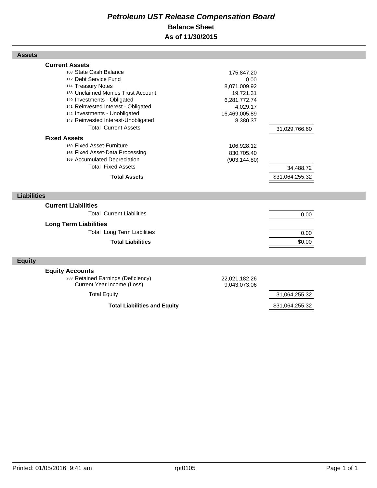# *Petroleum UST Release Compensation Board*  **Balance Sheet As of 11/30/2015**

| <b>Assets</b>                                                                                                                                                                                                                                                                                                                                                                                                                                                                                |                                                                                                                                                       |                                               |
|----------------------------------------------------------------------------------------------------------------------------------------------------------------------------------------------------------------------------------------------------------------------------------------------------------------------------------------------------------------------------------------------------------------------------------------------------------------------------------------------|-------------------------------------------------------------------------------------------------------------------------------------------------------|-----------------------------------------------|
| <b>Current Assets</b><br>108 State Cash Balance<br>112 Debt Service Fund<br>114 Treasury Notes<br>138 Unclaimed Monies Trust Account<br>140 Investments - Obligated<br>141 Reinvested Interest - Obligated<br>142 Investments - Unobligated<br>143 Reinvested Interest-Unobligated<br><b>Total Current Assets</b><br><b>Fixed Assets</b><br>160 Fixed Asset-Furniture<br>165 Fixed Asset-Data Processing<br>169 Accumulated Depreciation<br><b>Total Fixed Assets</b><br><b>Total Assets</b> | 175,847.20<br>0.00<br>8,071,009.92<br>19,721.31<br>6,281,772.74<br>4,029.17<br>16,469,005.89<br>8,380.37<br>106,928.12<br>830,705.40<br>(903, 144.80) | 31,029,766.60<br>34,488.72<br>\$31,064,255.32 |
| <b>Liabilities</b>                                                                                                                                                                                                                                                                                                                                                                                                                                                                           |                                                                                                                                                       |                                               |
| <b>Current Liabilities</b><br><b>Total Current Liabilities</b><br><b>Long Term Liabilities</b><br><b>Total Long Term Liabilities</b><br><b>Total Liabilities</b>                                                                                                                                                                                                                                                                                                                             |                                                                                                                                                       | 0.00<br>0.00<br>\$0.00                        |
| <b>Equity</b>                                                                                                                                                                                                                                                                                                                                                                                                                                                                                |                                                                                                                                                       |                                               |
| <b>Equity Accounts</b><br>283 Retained Earnings (Deficiency)<br>Current Year Income (Loss)<br><b>Total Equity</b>                                                                                                                                                                                                                                                                                                                                                                            | 22,021,182.26<br>9,043,073.06                                                                                                                         | 31,064,255.32                                 |

**Total Liabilities and Equity** \$31,064,255.32

Г

Г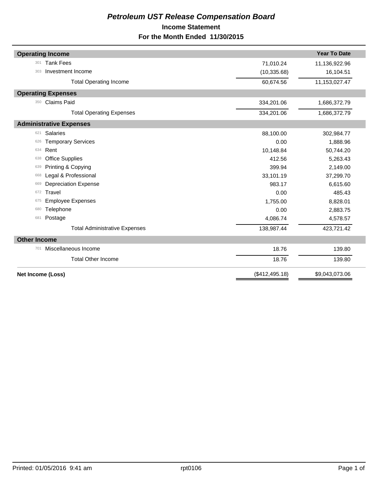# *Petroleum UST Release Compensation Board*  **Income Statement For the Month Ended 11/30/2015**

|                     | <b>Operating Income</b>              |                | <b>Year To Date</b> |
|---------------------|--------------------------------------|----------------|---------------------|
| 301                 | <b>Tank Fees</b>                     | 71,010.24      | 11,136,922.96       |
| 303                 | Investment Income                    | (10, 335.68)   | 16,104.51           |
|                     | <b>Total Operating Income</b>        | 60,674.56      | 11,153,027.47       |
|                     | <b>Operating Expenses</b>            |                |                     |
| 350                 | Claims Paid                          | 334,201.06     | 1,686,372.79        |
|                     | <b>Total Operating Expenses</b>      | 334,201.06     | 1,686,372.79        |
|                     | <b>Administrative Expenses</b>       |                |                     |
| 621                 | <b>Salaries</b>                      | 88,100.00      | 302,984.77          |
| 626                 | <b>Temporary Services</b>            | 0.00           | 1,888.96            |
| 634                 | Rent                                 | 10,148.84      | 50,744.20           |
| 638                 | <b>Office Supplies</b>               | 412.56         | 5,263.43            |
| 639                 | Printing & Copying                   | 399.94         | 2,149.00            |
| 668                 | Legal & Professional                 | 33,101.19      | 37,299.70           |
| 669                 | <b>Depreciation Expense</b>          | 983.17         | 6,615.60            |
| 672                 | Travel                               | 0.00           | 485.43              |
| 675                 | <b>Employee Expenses</b>             | 1,755.00       | 8,828.01            |
| 680                 | Telephone                            | 0.00           | 2,883.75            |
| 681                 | Postage                              | 4,086.74       | 4,578.57            |
|                     | <b>Total Administrative Expenses</b> | 138,987.44     | 423,721.42          |
| <b>Other Income</b> |                                      |                |                     |
| 701                 | Miscellaneous Income                 | 18.76          | 139.80              |
|                     | <b>Total Other Income</b>            | 18.76          | 139.80              |
|                     | Net Income (Loss)                    | (\$412,495.18) | \$9,043,073.06      |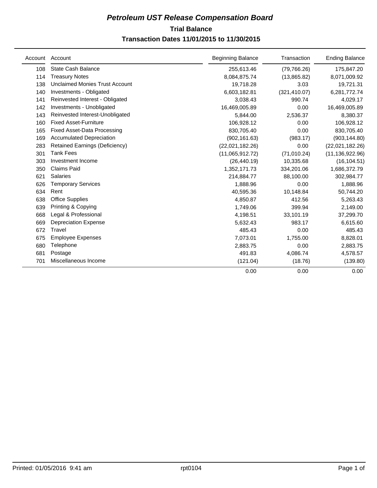# **Trial Balance** *Petroleum UST Release Compensation Board*

# **Transaction Dates 11/01/2015 to 11/30/2015**

| Account | Account                               | <b>Beginning Balance</b> | Transaction   | <b>Ending Balance</b> |
|---------|---------------------------------------|--------------------------|---------------|-----------------------|
| 108     | State Cash Balance                    | 255,613.46               | (79, 766.26)  | 175,847.20            |
| 114     | <b>Treasury Notes</b>                 | 8,084,875.74             | (13,865.82)   | 8,071,009.92          |
| 138     | <b>Unclaimed Monies Trust Account</b> | 19,718.28                | 3.03          | 19,721.31             |
| 140     | Investments - Obligated               | 6,603,182.81             | (321, 410.07) | 6,281,772.74          |
| 141     | Reinvested Interest - Obligated       | 3,038.43                 | 990.74        | 4,029.17              |
| 142     | Investments - Unobligated             | 16,469,005.89            | 0.00          | 16,469,005.89         |
| 143     | Reinvested Interest-Unobligated       | 5,844.00                 | 2,536.37      | 8,380.37              |
| 160     | <b>Fixed Asset-Furniture</b>          | 106,928.12               | 0.00          | 106,928.12            |
| 165     | <b>Fixed Asset-Data Processing</b>    | 830,705.40               | 0.00          | 830,705.40            |
| 169     | <b>Accumulated Depreciation</b>       | (902, 161.63)            | (983.17)      | (903, 144.80)         |
| 283     | <b>Retained Earnings (Deficiency)</b> | (22,021,182.26)          | 0.00          | (22,021,182.26)       |
| 301     | <b>Tank Fees</b>                      | (11,065,912.72)          | (71, 010.24)  | (11, 136, 922.96)     |
| 303     | Investment Income                     | (26, 440.19)             | 10,335.68     | (16, 104.51)          |
| 350     | <b>Claims Paid</b>                    | 1,352,171.73             | 334,201.06    | 1,686,372.79          |
| 621     | <b>Salaries</b>                       | 214,884.77               | 88,100.00     | 302,984.77            |
| 626     | <b>Temporary Services</b>             | 1,888.96                 | 0.00          | 1,888.96              |
| 634     | Rent                                  | 40,595.36                | 10,148.84     | 50,744.20             |
| 638     | <b>Office Supplies</b>                | 4,850.87                 | 412.56        | 5,263.43              |
| 639     | Printing & Copying                    | 1,749.06                 | 399.94        | 2,149.00              |
| 668     | Legal & Professional                  | 4,198.51                 | 33,101.19     | 37,299.70             |
| 669     | <b>Depreciation Expense</b>           | 5,632.43                 | 983.17        | 6,615.60              |
| 672     | Travel                                | 485.43                   | 0.00          | 485.43                |
| 675     | <b>Employee Expenses</b>              | 7,073.01                 | 1,755.00      | 8,828.01              |
| 680     | Telephone                             | 2,883.75                 | 0.00          | 2,883.75              |
| 681     | Postage                               | 491.83                   | 4,086.74      | 4,578.57              |
| 701     | Miscellaneous Income                  | (121.04)                 | (18.76)       | (139.80)              |
|         |                                       | 0.00                     | 0.00          | 0.00                  |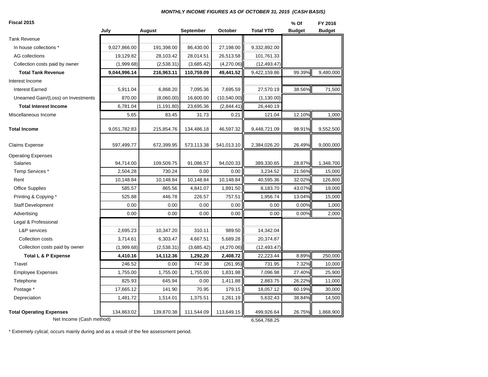#### *MONTHLY INCOME FIGURES AS OF OCTOBER 31, 2015 (CASH BASIS)*

| Fiscal 2015                              |              |             | September  | October      | <b>Total YTD</b> | % Of          | FY 2016       |
|------------------------------------------|--------------|-------------|------------|--------------|------------------|---------------|---------------|
| <b>Tank Revenue</b>                      | July         | August      |            |              |                  | <b>Budget</b> | <b>Budget</b> |
| In house collections *                   |              |             |            |              |                  |               |               |
| AG collections                           | 9,027,866.00 | 191,398.00  | 86,430.00  | 27,198.00    | 9,332,892.00     |               |               |
|                                          | 19,129.82    | 28,103.42   | 28,014.51  | 26,513.58    | 101,761.33       |               |               |
| Collection costs paid by owner           | (1,999.68)   | (2,538.31)  | (3,685.42) | (4,270.06)   | (12, 493.47)     |               |               |
| <b>Total Tank Revenue</b>                | 9,044,996.14 | 216,963.11  | 110,759.09 | 49,441.52    | 9,422,159.86     | 99.39%        | 9,480,000     |
| Interest Income                          |              |             |            |              |                  |               |               |
| <b>Interest Earned</b>                   | 5,911.04     | 6,868.20    | 7,095.36   | 7,695.59     | 27,570.19        | 38.56%        | 71,500        |
| Unearned Gain/(Loss) on Investments      | 870.00       | (8,060.00)  | 16,600.00  | (10, 540.00) | (1, 130.00)      |               |               |
| <b>Total Interest Income</b>             | 6,781.04     | (1, 191.80) | 23,695.36  | (2,844.41)   | 26,440.19        |               |               |
| Miscellaneous Income                     | 5.65         | 83.45       | 31.73      | 0.21         | 121.04           | 12.10%        | 1,000         |
| <b>Total Income</b>                      | 9,051,782.83 | 215,854.76  | 134,486.18 | 46,597.32    | 9,448,721.09     | 98.91%        | 9,552,500     |
| Claims Expense                           | 597,499.77   | 672,399.95  | 573,113.38 | 541,013.10   | 2,384,026.20     | 26.49%        | 9,000,000     |
| <b>Operating Expenses</b>                |              |             |            |              |                  |               |               |
| <b>Salaries</b>                          | 94,714.00    | 109,509.75  | 91,086.57  | 94,020.33    | 389,330.65       | 28.87%        | 1,348,700     |
| Temp Services *                          | 2,504.28     | 730.24      | 0.00       | 0.00         | 3,234.52         | 21.56%        | 15,000        |
| Rent                                     | 10,148.84    | 10,148.84   | 10,148.84  | 10,148.84    | 40,595.36        | 32.02%        | 126,800       |
| <b>Office Supplies</b>                   | 585.57       | 865.56      | 4,841.07   | 1,891.50     | 8,183.70         | 43.07%        | 19,000        |
| Printing & Copying *                     | 525.88       | 446.78      | 226.57     | 757.51       | 1,956.74         | 13.04%        | 15,000        |
| <b>Staff Development</b>                 | 0.00         | 0.00        | 0.00       | 0.00         | 0.00             | 0.00%         | 1,000         |
| Advertising                              | 0.00         | 0.00        | 0.00       | 0.00         | 0.00             | 0.00%         | 2,000         |
| Legal & Professional                     |              |             |            |              |                  |               |               |
| L&P services                             | 2,695.23     | 10,347.20   | 310.11     | 989.50       | 14,342.04        |               |               |
| Collection costs                         | 3,714.61     | 6,303.47    | 4,667.51   | 5,689.28     | 20,374.87        |               |               |
| Collection costs paid by owner           | (1,999.68)   | (2,538.31)  | (3,685.42) | (4,270.06)   | (12, 493.47)     |               |               |
| <b>Total L &amp; P Expense</b>           | 4,410.16     | 14,112.36   | 1,292.20   | 2,408.72     | 22,223.44        | 8.89%         | 250,000       |
| Travel                                   | 246.52       | 0.00        | 747.38     | (261.95)     | 731.95           | 7.32%         | 10,000        |
| <b>Employee Expenses</b>                 | 1,755.00     | 1,755.00    | 1,755.00   | 1,831.98     | 7,096.98         | 27.40%        | 25,900        |
| Telephone                                | 825.93       | 645.94      | 0.00       | 1,411.88     | 2,883.75         | 26.22%        | 11,000        |
| Postage *                                | 17,665.12    | 141.90      | 70.95      | 179.15       | 18,057.12        | 60.19%        | 30,000        |
| Depreciation                             | 1,481.72     | 1,514.01    | 1,375.51   | 1,261.19     | 5,632.43         | 38.84%        | 14,500        |
| <b>Total Operating Expenses</b>          | 134,863.02   | 139,870.38  | 111,544.09 | 113,649.15   | 499,926.64       | 26.75%        | 1,868,900     |
| Net Income (Cash method)<br>6,564,768.25 |              |             |            |              |                  |               |               |

\* Extremely cylical; occurs mainly during and as a result of the fee assessment period.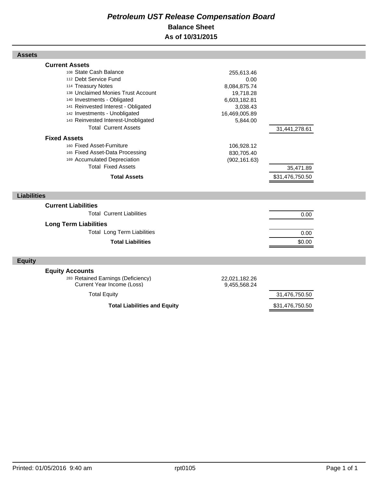# *Petroleum UST Release Compensation Board*  **Balance Sheet As of 10/31/2015**

| <b>Assets</b>                                                                                                                                                             |                                                       |                 |  |
|---------------------------------------------------------------------------------------------------------------------------------------------------------------------------|-------------------------------------------------------|-----------------|--|
| <b>Current Assets</b><br>108 State Cash Balance<br>112 Debt Service Fund<br>114 Treasury Notes<br>138 Unclaimed Monies Trust Account                                      | 255,613.46<br>0.00<br>8,084,875.74<br>19,718.28       |                 |  |
| 140 Investments - Obligated<br>141 Reinvested Interest - Obligated<br>142 Investments - Unobligated<br>143 Reinvested Interest-Unobligated<br><b>Total Current Assets</b> | 6,603,182.81<br>3,038.43<br>16,469,005.89<br>5,844.00 | 31,441,278.61   |  |
| <b>Fixed Assets</b><br>160 Fixed Asset-Furniture<br>165 Fixed Asset-Data Processing<br>169 Accumulated Depreciation<br><b>Total Fixed Assets</b>                          | 106,928.12<br>830,705.40<br>(902, 161.63)             | 35,471.89       |  |
| <b>Total Assets</b>                                                                                                                                                       |                                                       | \$31,476,750.50 |  |
| <b>Liabilities</b>                                                                                                                                                        |                                                       |                 |  |
| <b>Current Liabilities</b><br><b>Total Current Liabilities</b>                                                                                                            |                                                       | 0.00            |  |
| <b>Long Term Liabilities</b><br><b>Total Long Term Liabilities</b><br><b>Total Liabilities</b>                                                                            |                                                       | 0.00<br>\$0.00  |  |
| <b>Equity</b>                                                                                                                                                             |                                                       |                 |  |
| <b>Equity Accounts</b><br>283 Retained Earnings (Deficiency)<br>Current Year Income (Loss)                                                                                | 22,021,182.26<br>9,455,568.24                         |                 |  |
| <b>Total Equity</b>                                                                                                                                                       |                                                       | 31,476,750.50   |  |
| <b>Total Liabilities and Equity</b>                                                                                                                                       |                                                       | \$31,476,750.50 |  |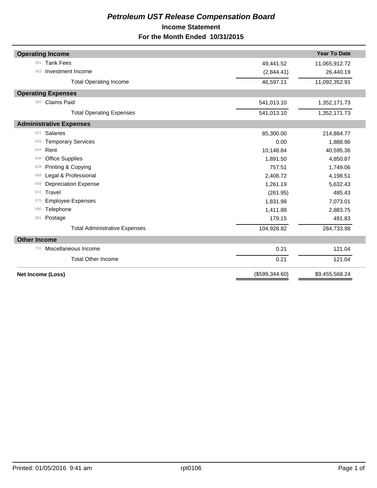# *Petroleum UST Release Compensation Board*  **Income Statement For the Month Ended 10/31/2015**

|                     | <b>Operating Income</b>              |                | <b>Year To Date</b> |
|---------------------|--------------------------------------|----------------|---------------------|
| 301                 | <b>Tank Fees</b>                     | 49,441.52      | 11,065,912.72       |
| 303                 | Investment Income                    | (2,844.41)     | 26,440.19           |
|                     | <b>Total Operating Income</b>        | 46,597.11      | 11,092,352.91       |
|                     | <b>Operating Expenses</b>            |                |                     |
| 350                 | <b>Claims Paid</b>                   | 541,013.10     | 1,352,171.73        |
|                     | <b>Total Operating Expenses</b>      | 541,013.10     | 1,352,171.73        |
|                     | <b>Administrative Expenses</b>       |                |                     |
| 621                 | <b>Salaries</b>                      | 85,300.00      | 214,884.77          |
| 626                 | <b>Temporary Services</b>            | 0.00           | 1,888.96            |
| 634                 | Rent                                 | 10,148.84      | 40,595.36           |
| 638                 | <b>Office Supplies</b>               | 1,891.50       | 4,850.87            |
| 639                 | Printing & Copying                   | 757.51         | 1,749.06            |
| 668                 | Legal & Professional                 | 2,408.72       | 4,198.51            |
| 669                 | <b>Depreciation Expense</b>          | 1,261.19       | 5,632.43            |
| 672                 | Travel                               | (261.95)       | 485.43              |
| 675                 | <b>Employee Expenses</b>             | 1,831.98       | 7,073.01            |
| 680                 | Telephone                            | 1,411.88       | 2,883.75            |
| 681                 | Postage                              | 179.15         | 491.83              |
|                     | <b>Total Administrative Expenses</b> | 104,928.82     | 284,733.98          |
| <b>Other Income</b> |                                      |                |                     |
| 701                 | Miscellaneous Income                 | 0.21           | 121.04              |
|                     | <b>Total Other Income</b>            | 0.21           | 121.04              |
|                     | <b>Net Income (Loss)</b>             | (\$599,344.60) | \$9,455,568.24      |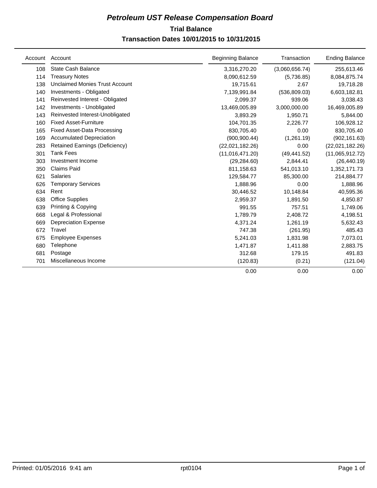# **Trial Balance** *Petroleum UST Release Compensation Board*

# **Transaction Dates 10/01/2015 to 10/31/2015**

| Account | Account                               | <b>Beginning Balance</b> | Transaction    | <b>Ending Balance</b> |
|---------|---------------------------------------|--------------------------|----------------|-----------------------|
| 108     | State Cash Balance                    | 3,316,270.20             | (3,060,656.74) | 255,613.46            |
| 114     | <b>Treasury Notes</b>                 | 8,090,612.59             | (5,736.85)     | 8,084,875.74          |
| 138     | Unclaimed Monies Trust Account        | 19,715.61                | 2.67           | 19,718.28             |
| 140     | Investments - Obligated               | 7,139,991.84             | (536, 809.03)  | 6,603,182.81          |
| 141     | Reinvested Interest - Obligated       | 2,099.37                 | 939.06         | 3,038.43              |
| 142     | Investments - Unobligated             | 13,469,005.89            | 3,000,000.00   | 16,469,005.89         |
| 143     | Reinvested Interest-Unobligated       | 3,893.29                 | 1,950.71       | 5,844.00              |
| 160     | <b>Fixed Asset-Furniture</b>          | 104,701.35               | 2,226.77       | 106,928.12            |
| 165     | <b>Fixed Asset-Data Processing</b>    | 830,705.40               | 0.00           | 830,705.40            |
| 169     | <b>Accumulated Depreciation</b>       | (900, 900.44)            | (1,261.19)     | (902, 161.63)         |
| 283     | <b>Retained Earnings (Deficiency)</b> | (22,021,182.26)          | 0.00           | (22,021,182.26)       |
| 301     | <b>Tank Fees</b>                      | (11,016,471.20)          | (49, 441.52)   | (11,065,912.72)       |
| 303     | Investment Income                     | (29, 284.60)             | 2,844.41       | (26, 440.19)          |
| 350     | <b>Claims Paid</b>                    | 811,158.63               | 541,013.10     | 1,352,171.73          |
| 621     | <b>Salaries</b>                       | 129,584.77               | 85,300.00      | 214,884.77            |
| 626     | <b>Temporary Services</b>             | 1,888.96                 | 0.00           | 1,888.96              |
| 634     | Rent                                  | 30,446.52                | 10,148.84      | 40,595.36             |
| 638     | <b>Office Supplies</b>                | 2,959.37                 | 1,891.50       | 4,850.87              |
| 639     | Printing & Copying                    | 991.55                   | 757.51         | 1,749.06              |
| 668     | Legal & Professional                  | 1,789.79                 | 2,408.72       | 4,198.51              |
| 669     | <b>Depreciation Expense</b>           | 4,371.24                 | 1,261.19       | 5,632.43              |
| 672     | Travel                                | 747.38                   | (261.95)       | 485.43                |
| 675     | <b>Employee Expenses</b>              | 5,241.03                 | 1,831.98       | 7,073.01              |
| 680     | Telephone                             | 1,471.87                 | 1,411.88       | 2,883.75              |
| 681     | Postage                               | 312.68                   | 179.15         | 491.83                |
| 701     | Miscellaneous Income                  | (120.83)                 | (0.21)         | (121.04)              |
|         |                                       | 0.00                     | 0.00           | 0.00                  |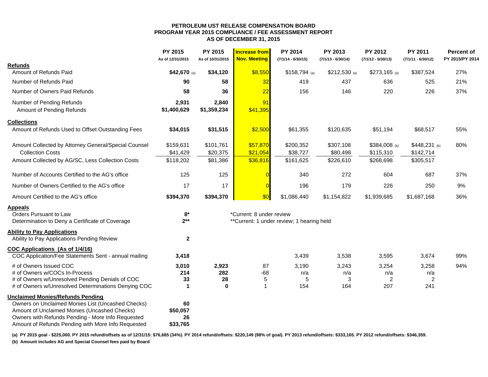#### **PETROLEUM UST RELEASE COMPENSATION BOARD PROGRAM YEAR 2015 COMPLIANCE / FEE ASSESSMENT REPORT AS OF DECEMBER 31, 2015**

|                                                      | <b>PY 2015</b><br>As of 12/31/2015 | <b>PY 2015</b><br>As of 10/31/2015 | <b>Increase from</b><br><b>Nov. Meeting</b> | <b>PY 2014</b><br>$(7/1/14 - 6/30/15)$    | PY 2013<br>$(7/1/13 - 6/30/14)$ | <b>PY 2012</b><br>$(7/1/12 - 6/30/13)$ | <b>PY 2011</b><br>$(7/1/11 - 6/30/12)$ | <b>Percent of</b><br>PY 2015/PY 2014 |
|------------------------------------------------------|------------------------------------|------------------------------------|---------------------------------------------|-------------------------------------------|---------------------------------|----------------------------------------|----------------------------------------|--------------------------------------|
| <b>Refunds</b>                                       |                                    |                                    |                                             |                                           |                                 |                                        |                                        |                                      |
| Amount of Refunds Paid                               | \$42,670 (a)                       | \$34,120                           | \$8,550                                     | \$158,794 (a)                             | $$212,530$ (a)                  | $$273,165$ (a)                         | \$387,524                              | 27%                                  |
| Number of Refunds Paid                               | 90                                 | 58                                 | 32                                          | 419                                       | 437                             | 636                                    | 525                                    | 21%                                  |
| Number of Owners Paid Refunds                        | 58                                 | 36                                 | 22                                          | 156                                       | 146                             | 220                                    | 226                                    | 37%                                  |
| Number of Pending Refunds                            | 2,931                              | 2,840                              | 91                                          |                                           |                                 |                                        |                                        |                                      |
| Amount of Pending Refunds                            | \$1,400,629                        | \$1,359,234                        | \$41,395                                    |                                           |                                 |                                        |                                        |                                      |
| <b>Collections</b>                                   |                                    |                                    |                                             |                                           |                                 |                                        |                                        |                                      |
| Amount of Refunds Used to Offset Outstanding Fees    | \$34,015                           | \$31,515                           | \$2,500                                     | \$61,355                                  | \$120,635                       | \$51,194                               | \$68,517                               | 55%                                  |
| Amount Collected by Attorney General/Special Counsel | \$159,631                          | \$101,761                          | \$57,870                                    | \$200,352                                 | \$307,108                       | \$384,008 (b)                          | $$448,231$ (b)                         | 80%                                  |
| <b>Collection Costs</b>                              | \$41,429                           | \$20,375                           | \$21,054                                    | \$38,727                                  | \$80,498                        | \$115,310                              | \$142,714                              |                                      |
| Amount Collected by AG/SC, Less Collection Costs     | \$118,202                          | \$81,386                           | \$36,816                                    | \$161,625                                 | \$226,610                       | \$268,698                              | \$305,517                              |                                      |
| Number of Accounts Certified to the AG's office      | 125                                | 125                                |                                             | 340                                       | 272                             | 604                                    | 687                                    | 37%                                  |
| Number of Owners Certified to the AG's office        | 17                                 | 17                                 | $\epsilon$                                  | 196                                       | 179                             | 226                                    | 250                                    | 9%                                   |
| Amount Certified to the AG's office                  | \$394,370                          | \$394,370                          | \$0                                         | \$1,086,440                               | \$1,154,822                     | \$1,939,685                            | \$1,687,168                            | 36%                                  |
| <b>Appeals</b>                                       |                                    |                                    |                                             |                                           |                                 |                                        |                                        |                                      |
| Orders Pursuant to Law                               | $8*$                               |                                    | *Current: 8 under review                    |                                           |                                 |                                        |                                        |                                      |
| Determination to Deny a Certificate of Coverage      | $2***$                             |                                    |                                             | **Current: 1 under review; 1 hearing held |                                 |                                        |                                        |                                      |
| <b>Ability to Pay Applications</b>                   |                                    |                                    |                                             |                                           |                                 |                                        |                                        |                                      |
| Ability to Pay Applications Pending Review           | $\mathbf{2}$                       |                                    |                                             |                                           |                                 |                                        |                                        |                                      |
| COC Applications (As of 1/4/16)                      |                                    |                                    |                                             |                                           |                                 |                                        |                                        |                                      |
| COC Application/Fee Statements Sent - annual mailing | 3,418                              |                                    |                                             | 3,439                                     | 3,538                           | 3,595                                  | 3,674                                  | 99%                                  |
| # of Owners Issued COC                               | 3,010                              | 2,923                              | 87                                          | 3,190                                     | 3,243                           | 3,254                                  | 3,258                                  | 94%                                  |
| # of Owners w/COCs In-Process                        | 214                                | 282                                | $-68$                                       | n/a                                       | n/a                             | n/a                                    | n/a                                    |                                      |
| # of Owners w/Unresolved Pending Denials of COC      | 33                                 | 28                                 | 5                                           | 5                                         | 3                               | $\overline{2}$                         | $\overline{2}$                         |                                      |
| # of Owners w/Unresolved Determinations Denying COC  | $\blacktriangleleft$               | $\bf{0}$                           | 1                                           | 154                                       | 164                             | 207                                    | 241                                    |                                      |
| <b>Unclaimed Monies/Refunds Pending</b>              |                                    |                                    |                                             |                                           |                                 |                                        |                                        |                                      |
| Owners on Unclaimed Monies List (Uncashed Checks)    | 60                                 |                                    |                                             |                                           |                                 |                                        |                                        |                                      |
| Amount of Unclaimed Monies (Uncashed Checks)         | \$50,057                           |                                    |                                             |                                           |                                 |                                        |                                        |                                      |
| Owners with Refunds Pending - More Info Requested    | 26                                 |                                    |                                             |                                           |                                 |                                        |                                        |                                      |
| Amount of Refunds Pending with More Info Requested   | \$33,765                           |                                    |                                             |                                           |                                 |                                        |                                        |                                      |

(a) PY 2015 goal - \$225,000. PY 2015 refund/offsets as of 12/31/15: \$76,685 (34%). PY 2014 refund/offsets: \$220,149 (98% of goal). PY 2013 refund/offsets: \$333,165. PY 2012 refund/offsets: \$346,359.

**(b) Amount includes AG and Special Counsel fees paid by Board**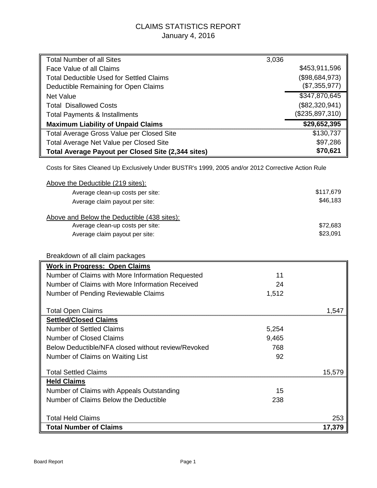# CLAIMS STATISTICS REPORT January 4, 2016

| <b>Total Number of all Sites</b>                                                                   | 3,036 |                 |
|----------------------------------------------------------------------------------------------------|-------|-----------------|
| Face Value of all Claims                                                                           |       | \$453,911,596   |
| <b>Total Deductible Used for Settled Claims</b>                                                    |       | (\$98,684,973)  |
| Deductible Remaining for Open Claims                                                               |       | (\$7,355,977)   |
| <b>Net Value</b>                                                                                   |       | \$347,870,645   |
| <b>Total Disallowed Costs</b>                                                                      |       | (\$82,320,941)  |
| <b>Total Payments &amp; Installments</b>                                                           |       | (\$235,897,310) |
| <b>Maximum Liability of Unpaid Claims</b>                                                          |       | \$29,652,395    |
| Total Average Gross Value per Closed Site                                                          |       | \$130,737       |
| Total Average Net Value per Closed Site                                                            |       | \$97,286        |
| <b>Total Average Payout per Closed Site (2,344 sites)</b>                                          |       | \$70,621        |
| Costs for Sites Cleaned Up Exclusively Under BUSTR's 1999, 2005 and/or 2012 Corrective Action Rule |       |                 |
| Above the Deductible (219 sites):                                                                  |       |                 |
| Average clean-up costs per site:                                                                   |       | \$117,679       |
| Average claim payout per site:                                                                     |       | \$46,183        |
|                                                                                                    |       |                 |
| Above and Below the Deductible (438 sites):                                                        |       |                 |
| Average clean-up costs per site:                                                                   |       | \$72,683        |
| Average claim payout per site:                                                                     |       | \$23,091        |
|                                                                                                    |       |                 |
| Breakdown of all claim packages                                                                    |       |                 |
| <b>Work in Progress: Open Claims</b>                                                               |       |                 |
| Number of Claims with More Information Requested                                                   | 11    |                 |
| Number of Claims with More Information Received                                                    | 24    |                 |
| Number of Pending Reviewable Claims                                                                | 1,512 |                 |
|                                                                                                    |       |                 |
| <b>Total Open Claims</b>                                                                           |       | 1,547           |
| <b>Settled/Closed Claims</b>                                                                       |       |                 |
| <b>Number of Settled Claims</b>                                                                    | 5,254 |                 |
| <b>Number of Closed Claims</b>                                                                     | 9,465 |                 |
| Below Deductible/NFA closed without review/Revoked                                                 | 768   |                 |
| Number of Claims on Waiting List                                                                   | 92    |                 |
| <b>Total Settled Claims</b>                                                                        |       | 15,579          |
| <b>Held Claims</b>                                                                                 |       |                 |
| Number of Claims with Appeals Outstanding                                                          | 15    |                 |
| Number of Claims Below the Deductible                                                              | 238   |                 |
|                                                                                                    |       |                 |
| <b>Total Held Claims</b>                                                                           |       | 253             |
| <b>Total Number of Claims</b>                                                                      |       | 17,379          |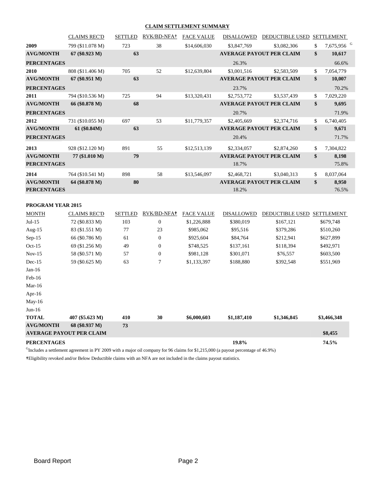#### **CLAIM SETTLEMENT SUMMARY**

|                                        | <b>CLAIMS REC'D</b> | <b>SETTLED</b> | RVK/BD-NFA+ | <b>FACE VALUE</b> | <b>DISALLOWED</b> | <b>DEDUCTIBLE USED</b>          | <b>SETTLEMENT</b>            |
|----------------------------------------|---------------------|----------------|-------------|-------------------|-------------------|---------------------------------|------------------------------|
| 2009                                   | 799 (\$11.078 M)    | 723            | 38          | \$14,606,030      | \$3,847,769       | \$3,082,306                     | \$<br>7,675,956 <sup>G</sup> |
| <b>AVG/MONTH</b>                       | $67 (\$0.923 M)$    | 63             |             |                   |                   | <b>AVERAGE PAYOUT PER CLAIM</b> | \$<br>10,617                 |
| <b>PERCENTAGES</b>                     |                     |                |             |                   | 26.3%             |                                 | 66.6%                        |
| 2010                                   | 808 (\$11.406 M)    | 705            | 52          | \$12,639,804      | \$3,001,516       | \$2,583,509                     | \$<br>7,054,779              |
| <b>AVG/MONTH</b>                       | 67 (\$0.951 M)      | 63             |             |                   |                   | <b>AVERAGE PAYOUT PER CLAIM</b> | \$<br>10,007                 |
| <b>PERCENTAGES</b>                     |                     |                |             |                   | 23.7%             |                                 | 70.2%                        |
| 2011                                   | 794 (\$10.536 M)    | 725            | 94          | \$13,320,431      | \$2,753,772       | \$3,537,439                     | \$<br>7,029,220              |
| <b>AVG/MONTH</b>                       | 66 (\$0.878 M)      | 68             |             |                   |                   | <b>AVERAGE PAYOUT PER CLAIM</b> | \$<br>9,695                  |
| <b>PERCENTAGES</b>                     |                     |                |             |                   | 20.7%             |                                 | 71.9%                        |
| 2012                                   | 731 (\$10.055 M)    | 697            | 53          | \$11,779,357      | \$2,405,669       | \$2,374,716                     | \$<br>6,740,405              |
| <b>AVG/MONTH</b>                       | $61 (\$0.84M)$      | 63             |             |                   |                   | <b>AVERAGE PAYOUT PER CLAIM</b> | \$<br>9,671                  |
| <b>PERCENTAGES</b>                     |                     |                |             |                   | 20.4%             |                                 | 71.7%                        |
| 2013                                   | 928 (\$12.120 M)    | 891            | 55          | \$12,513,139      | \$2,334,057       | \$2,874,260                     | \$<br>7,304,822              |
| <b>AVG/MONTH</b>                       | 77 (\$1.010 M)      | 79             |             |                   |                   | <b>AVERAGE PAYOUT PER CLAIM</b> | \$<br>8,198                  |
| <b>PERCENTAGES</b>                     |                     |                |             |                   | 18.7%             |                                 | 75.8%                        |
| 2014                                   | 764 (\$10.541 M)    | 898            | 58          | \$13,546,097      | \$2,468,721       | \$3,040,313                     | \$<br>8,037,064              |
| <b>AVG/MONTH</b><br><b>PERCENTAGES</b> | 64 (\$0.878 M)      | 80             |             |                   | 18.2%             | <b>AVERAGE PAYOUT PER CLAIM</b> | \$<br>8,950<br>76.5%         |
|                                        |                     |                |             |                   |                   |                                 |                              |

#### **PROGRAM YEAR 2015**

| <b>MONTH</b>       | <b>CLAIMS REC'D</b>             | <b>SETTLED</b> | RVK/BD-NFA+      | <b>FACE VALUE</b> | <b>DISALLOWED</b> | <b>DEDUCTIBLE USED</b> | <b>SETTLEMENT</b> |
|--------------------|---------------------------------|----------------|------------------|-------------------|-------------------|------------------------|-------------------|
| $Jul-15$           | 72 (\$0.833 M)                  | 103            | $\boldsymbol{0}$ | \$1,226,888       | \$380,019         | \$167,121              | \$679,748         |
| Aug- $15$          | 83 (\$1.551 M)                  | 77             | 23               | \$985,062         | \$95,516          | \$379,286              | \$510,260         |
| $Sep-15$           | 66 (\$0.786 M)                  | 61             | $\overline{0}$   | \$925,604         | \$84,764          | \$212,941              | \$627,899         |
| $Oct-15$           | 69 (\$1.256 M)                  | 49             | $\overline{0}$   | \$748,525         | \$137,161         | \$118,394              | \$492,971         |
| $Nov-15$           | 58 (\$0.571 M)                  | 57             | 0                | \$981,128         | \$301,071         | \$76,557               | \$603,500         |
| $Dec-15$           | 59 (\$0.625 M)                  | 63             | 7                | \$1,133,397       | \$188,880         | \$392,548              | \$551,969         |
| $Jan-16$           |                                 |                |                  |                   |                   |                        |                   |
| $Feb-16$           |                                 |                |                  |                   |                   |                        |                   |
| Mar- $16$          |                                 |                |                  |                   |                   |                        |                   |
| Apr- $16$          |                                 |                |                  |                   |                   |                        |                   |
| $May-16$           |                                 |                |                  |                   |                   |                        |                   |
| $Jun-16$           |                                 |                |                  |                   |                   |                        |                   |
| <b>TOTAL</b>       | 407 (\$5.623 M)                 | 410            | 30               | \$6,000,603       | \$1,187,410       | \$1,346,845            | \$3,466,348       |
| <b>AVG/MONTH</b>   | 68 (\$0.937 M)                  | 73             |                  |                   |                   |                        |                   |
|                    | <b>AVERAGE PAYOUT PER CLAIM</b> |                |                  |                   |                   |                        | \$8,455           |
| <b>PERCENTAGES</b> |                                 |                |                  |                   | 19.8%             |                        | 74.5%             |

<sup>G</sup>Includes a settlement agreement in PY 2009 with a major oil company for 96 claims for \$1,215,000 (a payout percentage of 46.9%)

**†**Eligibility revoked and/or Below Deductible claims with an NFA are not included in the claims payout statistics.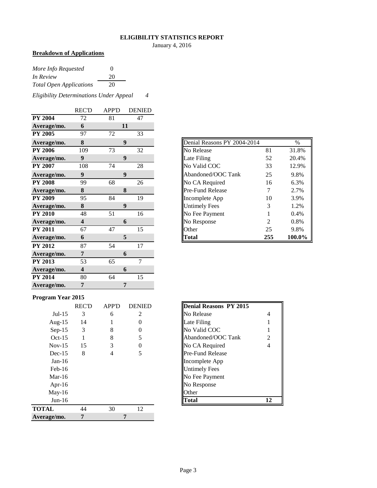#### **ELIGIBILITY STATISTICS REPORT**

January 4, 2016

# **Breakdown of Applications**

| More Info Requested            | $\Omega$ |
|--------------------------------|----------|
| In Review                      | 20       |
| <b>Total Open Applications</b> | 20       |

*Eligibility Determinations Under Appeal 4*

|                | <b>REC'D</b>            | <b>APP'D</b> | <b>DENIED</b>    |
|----------------|-------------------------|--------------|------------------|
| <b>PY 2004</b> | 72                      | 81           | 47               |
| Average/mo.    | 6                       |              | 11               |
| <b>PY 2005</b> | 97                      | 72           | 33               |
| Average/mo.    | 8                       |              | 9                |
| <b>PY 2006</b> | 109                     | 73           | 32               |
| Average/mo.    | $\boldsymbol{9}$        |              | 9                |
| <b>PY 2007</b> | 108                     | 74           | 28               |
| Average/mo.    | 9                       |              | $\boldsymbol{9}$ |
| <b>PY 2008</b> | 99                      | 68           | 26               |
| Average/mo.    | 8                       |              | 8                |
| <b>PY 2009</b> | 95                      | 84           | 19               |
| Average/mo.    | 8                       |              | $\boldsymbol{9}$ |
| <b>PY 2010</b> | 48                      | 51           | 16               |
| Average/mo.    | $\overline{\mathbf{4}}$ |              | 6                |
| <b>PY 2011</b> | 67                      | 47           | 15               |
| Average/mo.    | 6                       |              | 5                |
| <b>PY 2012</b> | 87                      | 54           | 17               |
| Average/mo.    | 7                       |              | 6                |
| <b>PY 2013</b> | 53                      | 65           | $\overline{7}$   |
| Average/mo.    | $\overline{\mathbf{4}}$ |              | 6                |
| <b>PY 2014</b> | 80                      | 64           | 15               |
| Average/mo.    | 7                       |              | 7                |

| Average/mo.    | 8   | 9  |    | Denial Reasons PY 2004-2014 | $\%$ |        |
|----------------|-----|----|----|-----------------------------|------|--------|
| <b>PY 2006</b> | 109 | 73 | 32 | No Release                  | 81   | 31.8%  |
| Average/mo.    |     | 9  |    | Late Filing                 | 52   | 20.4%  |
| <b>PY 2007</b> | 108 | 74 | 28 | No Valid COC                | 33   | 12.9%  |
| Average/mo.    |     | 9  |    | Abandoned/OOC Tank          | 25   | 9.8%   |
| <b>PY 2008</b> | 99  | 68 | 26 | No CA Required              | 16   | 6.3%   |
| Average/mo.    | 8   | 8  |    | <b>IPre-Fund Release</b>    |      | 2.7%   |
| PY 2009        | 95  | 84 | 19 | Incomplete App              | 10   | 3.9%   |
| Average/mo.    | 8   | 9  |    | <b>Untimely Fees</b>        |      | 1.2%   |
| <b>PY 2010</b> | 48  | 51 | 16 | No Fee Payment              |      | 0.4%   |
| Average/mo.    | 4   | 6  |    | No Response                 | 2    | 0.8%   |
| <b>PY 2011</b> | 67  | 47 | 15 | <b>Other</b>                | 25   | 9.8%   |
| Average/mo.    | 6   | 5  |    | <b>Total</b>                | 255  | 100.0% |

#### **Program Year 2015**

| ິ            |              |              |               |                         |    |
|--------------|--------------|--------------|---------------|-------------------------|----|
|              | <b>REC'D</b> | <b>APP'D</b> | <b>DENIED</b> | Denial Reasons PY 2015  |    |
| $Jul-15$     | 3            | 6            | 2             | No Release              | 4  |
| Aug- $15$    | 14           |              | $\theta$      | Late Filing             |    |
| $Sep-15$     | 3            | 8            | 0             | No Valid COC            | 1  |
| $Oct-15$     |              | 8            |               | Abandoned/OOC Tank      | 2  |
| $Nov-15$     | 15           | 3            | 0             | No CA Required          | 4  |
| $Dec-15$     | 8            | 4            | 5             | <b>Pre-Fund Release</b> |    |
| $Jan-16$     |              |              |               | Incomplete App          |    |
| $Feb-16$     |              |              |               | <b>Untimely Fees</b>    |    |
| Mar-16       |              |              |               | No Fee Payment          |    |
| Apr-16       |              |              |               | No Response             |    |
| $May-16$     |              |              |               | Other                   |    |
| $Jun-16$     |              |              |               | <b>Total</b>            | 12 |
| <b>TOTAL</b> | 44           | 30           | 12            |                         |    |
| Average/mo.  | 7            |              | 7             |                         |    |

| <b>Denial Reasons PY 2015</b> |   |
|-------------------------------|---|
| No Release                    | 4 |
| Late Filing                   | 1 |
| No Valid COC                  | 1 |
| Abandoned/OOC Tank            | 2 |
| No CA Required                | 4 |
| <b>Pre-Fund Release</b>       |   |
| Incomplete App                |   |
| <b>Untimely Fees</b>          |   |
| No Fee Payment                |   |
| No Response                   |   |
| Other                         |   |
| Fotal                         |   |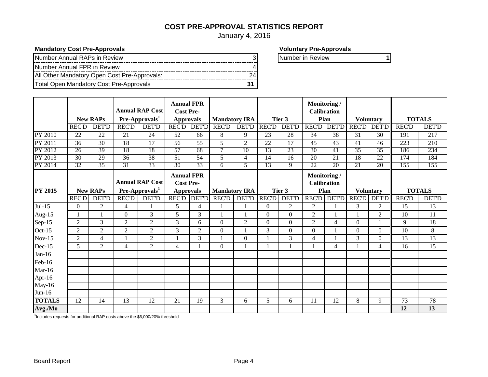# **COST PRE-APPROVAL STATISTICS REPORT**

January 4, 2016

**Mandatory Cost Pre-Approvals Mandatory Cost Pre-Approvals Voluntary Pre-Approvals** 

| Number Annual RAPs in Review                 |    |
|----------------------------------------------|----|
| Number Annual FPR in Review                  |    |
| All Other Mandatory Open Cost Pre-Approvals: | 24 |
| Total Open Mandatory Cost Pre-Approvals      |    |

Number in Review **1** 

|                |                 | <b>New RAPs</b>  |                 | <b>Annual RAP Cost</b><br>Pre-Approvals <sup>1</sup> | <b>Annual FPR</b><br><b>Cost Pre-</b><br><b>Approvals</b> |                 | <b>Mandatory IRA</b> |                |                 | Tier 3          | Monitoring /<br><b>Calibration</b><br>Plan |                |              | <b>Voluntary</b> |               | <b>TOTALS</b> |
|----------------|-----------------|------------------|-----------------|------------------------------------------------------|-----------------------------------------------------------|-----------------|----------------------|----------------|-----------------|-----------------|--------------------------------------------|----------------|--------------|------------------|---------------|---------------|
|                | <b>REC'D</b>    | <b>DET'D</b>     | <b>REC'D</b>    | <b>DET'D</b>                                         | <b>REC'D</b>                                              | <b>DET'D</b>    | <b>REC'D</b>         | <b>DET'D</b>   | <b>REC'D</b>    | <b>DET'D</b>    | <b>REC'D</b>                               | <b>DET'D</b>   | <b>REC'D</b> | <b>DET'D</b>     | <b>REC'D</b>  | <b>DET'D</b>  |
| <b>PY 2010</b> | 22              | 22               | 21              | 24                                                   | 52                                                        | 66              | 8                    | 9              | 23              | 28              | 34                                         | 38             | 31           | 30               | 191           | 217           |
| PY 2011        | $\overline{36}$ | $\overline{30}$  | $\overline{18}$ | $\overline{17}$                                      | $\overline{56}$                                           | $\overline{55}$ | $\overline{5}$       | $\overline{2}$ | $\overline{22}$ | $\overline{17}$ | $\overline{45}$                            | 43             | 41           | 46               | 223           | 210           |
| PY 2012        | 26              | 39               | 18              | 18                                                   | 57                                                        | 68              | 7                    | 10             | 13              | 23              | $\overline{30}$                            | 41             | 35           | 35               | 186           | 234           |
| PY 2013        | 30              | 29               | $\overline{36}$ | 38                                                   | 51                                                        | 54              | 5                    | $\overline{4}$ | 14              | 16              | 20                                         | 21             | 18           | 22               | 174           | 184           |
| PY 2014        | 32              | 35               | 31              | 33                                                   | 30                                                        | 33              | 6                    | 5              | 13              | 9               | 22                                         | 20             | 21           | 20               | 155           | 155           |
|                |                 |                  |                 | <b>Annual RAP Cost</b>                               | <b>Annual FPR</b><br><b>Cost Pre-</b>                     |                 |                      |                |                 |                 | Monitoring /<br><b>Calibration</b>         |                |              |                  |               |               |
| <b>PY 2015</b> |                 | <b>New RAPs</b>  |                 | Pre-Approvals <sup>1</sup>                           | <b>Approvals</b>                                          |                 | <b>Mandatory IRA</b> |                |                 | Tier 3          | Plan                                       |                |              | <b>Voluntary</b> | <b>TOTALS</b> |               |
|                | <b>REC'D</b>    | <b>DET'D</b>     | <b>REC'D</b>    | <b>DET'D</b>                                         |                                                           | REC'D DET'D     | <b>REC'D</b>         | <b>DET'D</b>   | <b>REC'D</b>    | <b>DET'D</b>    |                                            | REC'D DET'D    |              | REC'D DET'D      | <b>REC'D</b>  | <b>DET'D</b>  |
| $Jul-15$       | $\overline{0}$  | $\overline{2}$   | 4               |                                                      | 5                                                         | $\overline{4}$  |                      |                | $\Omega$        | $\overline{2}$  | $\overline{2}$                             |                | 3            | $\overline{2}$   | 15            | 13            |
| Aug-15         |                 | $\mathbf{1}$     | $\overline{0}$  | 3                                                    | 5                                                         | 3               |                      | 1              | $\Omega$        | $\overline{0}$  | $\overline{2}$                             |                |              | $\overline{2}$   | 10            | 11            |
| Sep-15         | $\overline{2}$  | 3                | $\overline{2}$  | $\overline{2}$                                       | 3                                                         | 6               | $\Omega$             | $\overline{2}$ | $\Omega$        | $\Omega$        | $\overline{2}$                             | $\overline{4}$ | $\Omega$     |                  | 9             | 18            |
| Oct-15         | $\overline{2}$  | $\boldsymbol{2}$ | $\overline{c}$  | $\overline{2}$                                       | 3                                                         | $\sqrt{2}$      | $\boldsymbol{0}$     |                | 3               | $\Omega$        | $\Omega$                                   |                | $\Omega$     | $\Omega$         | 10            | $\,8\,$       |
| $Nov-15$       | $\overline{c}$  | $\overline{4}$   |                 | $\overline{2}$                                       |                                                           | 3               |                      | $\theta$       |                 | 3               | $\overline{4}$                             |                | 3            | $\Omega$         | 13            | 13            |
| Dec-15         | 5               | $\overline{2}$   | 4               | 2                                                    | $\overline{4}$                                            |                 | $\mathbf{0}$         | 1              |                 |                 |                                            | 4              |              | 4                | 16            | 15            |
| $Jan-16$       |                 |                  |                 |                                                      |                                                           |                 |                      |                |                 |                 |                                            |                |              |                  |               |               |
| Feb-16         |                 |                  |                 |                                                      |                                                           |                 |                      |                |                 |                 |                                            |                |              |                  |               |               |
| $Mar-16$       |                 |                  |                 |                                                      |                                                           |                 |                      |                |                 |                 |                                            |                |              |                  |               |               |
| Apr-16         |                 |                  |                 |                                                      |                                                           |                 |                      |                |                 |                 |                                            |                |              |                  |               |               |
| May-16         |                 |                  |                 |                                                      |                                                           |                 |                      |                |                 |                 |                                            |                |              |                  |               |               |
| $Jun-16$       |                 |                  |                 |                                                      |                                                           |                 |                      |                |                 |                 |                                            |                |              |                  |               |               |
| <b>TOTALS</b>  | 12              | 14               | 13              | 12                                                   | 21                                                        | 19              | 3                    | 6              | 5               | 6               | 11                                         | 12             | 8            | 9                | 73            | 78            |

<sup>1</sup>Includes requests for additional RAP costs above the \$6,000/20% threshold

**Avg./Mo 2.00 2 2 2 4 3 1 1 1 1 2 2 1 2 12 13**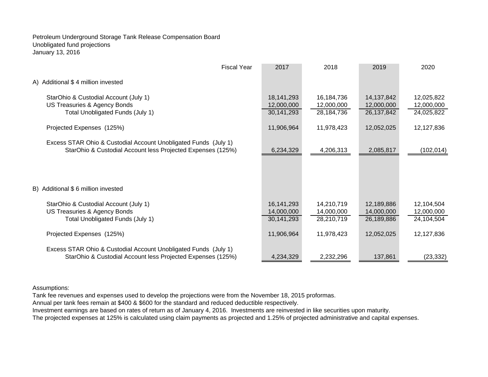Petroleum Underground Storage Tank Release Compensation Board Unobligated fund projections January 13, 2016

| <b>Fiscal Year</b>                                                                                                             | 2017                                   | 2018                                   | 2019                                   | 2020                                   |
|--------------------------------------------------------------------------------------------------------------------------------|----------------------------------------|----------------------------------------|----------------------------------------|----------------------------------------|
| A) Additional \$4 million invested                                                                                             |                                        |                                        |                                        |                                        |
| StarOhio & Custodial Account (July 1)<br>US Treasuries & Agency Bonds<br>Total Unobligated Funds (July 1)                      | 18,141,293<br>12,000,000<br>30,141,293 | 16,184,736<br>12,000,000<br>28,184,736 | 14,137,842<br>12,000,000<br>26,137,842 | 12,025,822<br>12,000,000<br>24,025,822 |
| Projected Expenses (125%)                                                                                                      | 11,906,964                             | 11,978,423                             | 12,052,025                             | 12,127,836                             |
| Excess STAR Ohio & Custodial Account Unobligated Funds (July 1)<br>StarOhio & Custodial Account less Projected Expenses (125%) | 6,234,329                              | 4,206,313                              | 2,085,817                              | (102, 014)                             |
| B) Additional \$6 million invested                                                                                             |                                        |                                        |                                        |                                        |
| StarOhio & Custodial Account (July 1)<br>US Treasuries & Agency Bonds<br>Total Unobligated Funds (July 1)                      | 16,141,293<br>14,000,000<br>30,141,293 | 14,210,719<br>14,000,000<br>28,210,719 | 12,189,886<br>14,000,000<br>26,189,886 | 12,104,504<br>12,000,000<br>24,104,504 |
| Projected Expenses (125%)                                                                                                      | 11,906,964                             | 11,978,423                             | 12,052,025                             | 12,127,836                             |
| Excess STAR Ohio & Custodial Account Unobligated Funds (July 1)<br>StarOhio & Custodial Account less Projected Expenses (125%) | 4,234,329                              | 2,232,296                              | 137,861                                | (23, 332)                              |

#### Assumptions:

Tank fee revenues and expenses used to develop the projections were from the November 18, 2015 proformas.

Annual per tank fees remain at \$400 & \$600 for the standard and reduced deductible respectively.

Investment earnings are based on rates of return as of January 4, 2016. Investments are reinvested in like securities upon maturity.

The projected expenses at 125% is calculated using claim payments as projected and 1.25% of projected administrative and capital expenses.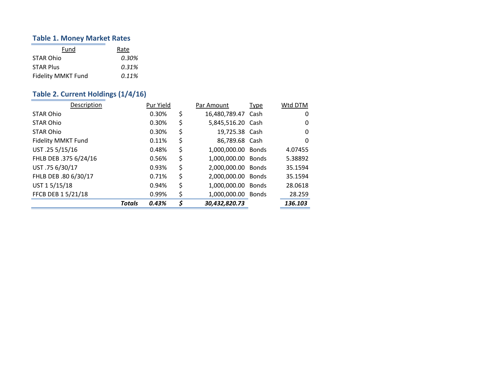#### **Table 1. Money Market Rates**

| Fund                      | Rate  |
|---------------------------|-------|
| STAR Ohio                 | 0.30% |
| <b>STAR Plus</b>          | 0.31% |
| <b>Fidelity MMKT Fund</b> | 0.11% |

# **Table 2. Current Holdings (1/4/16)**

| Description           |        | Pur Yield | Par Amount               | <b>Type</b>  | Wtd DTM |
|-----------------------|--------|-----------|--------------------------|--------------|---------|
| <b>STAR Ohio</b>      |        | 0.30%     | \$<br>16,480,789.47 Cash |              | 0       |
| <b>STAR Ohio</b>      |        | 0.30%     | \$<br>5,845,516.20 Cash  |              | 0       |
| <b>STAR Ohio</b>      |        | 0.30%     | \$<br>19,725.38 Cash     |              | 0       |
| Fidelity MMKT Fund    |        | 0.11%     | \$<br>86,789.68 Cash     |              | 0       |
| UST .25 5/15/16       |        | 0.48%     | \$<br>1,000,000.00 Bonds |              | 4.07455 |
| FHLB DEB .375 6/24/16 |        | 0.56%     | \$<br>1,000,000.00 Bonds |              | 5.38892 |
| UST.75 6/30/17        |        | 0.93%     | \$<br>2,000,000.00       | <b>Bonds</b> | 35.1594 |
| FHLB DEB .80 6/30/17  |        | 0.71%     | \$<br>2,000,000.00       | <b>Bonds</b> | 35.1594 |
| UST 15/15/18          |        | 0.94%     | \$<br>1,000,000.00       | <b>Bonds</b> | 28.0618 |
| FFCB DEB 15/21/18     |        | 0.99%     | \$<br>1,000,000.00       | <b>Bonds</b> | 28.259  |
|                       | Totals | 0.43%     | \$<br>30,432,820.73      |              | 136.103 |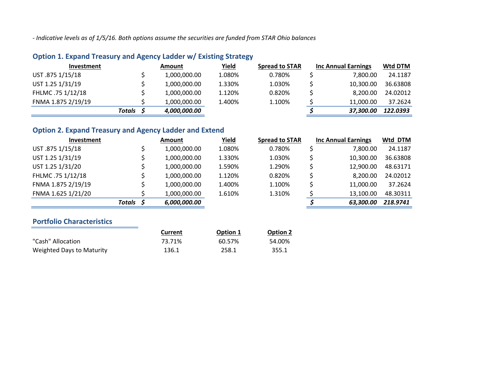*‐ Indicative levels as of 1/5/16. Both options assume the securities are funded from STAR Ohio balances*

|        | Amount       | Yield  | <b>Spread to STAR</b> |           | Wtd DTM                    |
|--------|--------------|--------|-----------------------|-----------|----------------------------|
|        | 1,000,000.00 | 1.080% | 0.780%                | 7,800.00  | 24.1187                    |
|        | 1,000,000.00 | 1.330% | 1.030%                | 10.300.00 | 36.63808                   |
|        | 1,000,000.00 | 1.120% | 0.820%                | 8.200.00  | 24.02012                   |
|        | 1,000,000.00 | 1.400% | 1.100%                | 11.000.00 | 37.2624                    |
| Totals | 4,000,000.00 |        |                       | 37,300.00 | 122.0393                   |
|        |              |        |                       |           | <b>Inc Annual Earnings</b> |

# **Option 1. Expand Treasury and Agency Ladder w/ Existing Strategy**

# **Option 2. Expand Treasury and Agency Ladder and Extend**

| <b>Investment</b>  |           | Amount       | <b>Yield</b> | <b>Spread to STAR</b> | <b>Inc Annual Earnings</b> | Wtd DTM  |
|--------------------|-----------|--------------|--------------|-----------------------|----------------------------|----------|
| UST .875 1/15/18   |           | 1,000,000.00 | 1.080%       | 0.780%                | 7,800.00                   | 24.1187  |
| UST 1.25 1/31/19   |           | 1,000,000.00 | 1.330%       | 1.030%                | 10,300.00                  | 36.63808 |
| UST 1.25 1/31/20   |           | 1,000,000.00 | 1.590%       | 1.290%                | 12,900.00                  | 48.63171 |
| FHLMC .75 1/12/18  |           | 1,000,000.00 | 1.120%       | 0.820%                | 8.200.00                   | 24.02012 |
| FNMA 1.875 2/19/19 |           | 1,000,000.00 | 1.400%       | 1.100%                | 11,000.00                  | 37.2624  |
| FNMA 1.625 1/21/20 |           | 1,000,000.00 | 1.610%       | 1.310%                | 13,100.00                  | 48.30311 |
|                    | Totals \$ | 6,000,000.00 |              |                       | 63,300.00                  | 218.9741 |
|                    |           |              |              |                       |                            |          |

# **Portfolio Characteristics**

|                           | Current | Option 1 | <b>Option 2</b> |
|---------------------------|---------|----------|-----------------|
| "Cash" Allocation         | 73.71%  | 60.57%   | 54.00%          |
| Weighted Days to Maturity | 136.1   | 258.1    | 355.1           |

| ∣ to STAR | <b>Inc Annual Earnings</b> | Wtd DTM  |
|-----------|----------------------------|----------|
| '80%      | \$<br>7,800.00             | 24.1187  |
| 30%       | \$<br>10,300.00            | 36.63808 |
| 90%       | \$<br>12,900.00            | 48.63171 |
| 20%       | \$<br>8,200.00             | 24.02012 |
| .00%      | \$<br>11,000.00            | 37.2624  |
| 10%       | \$<br>13,100.00            | 48.30311 |
|           | \$<br>63,300.00            | 218.9741 |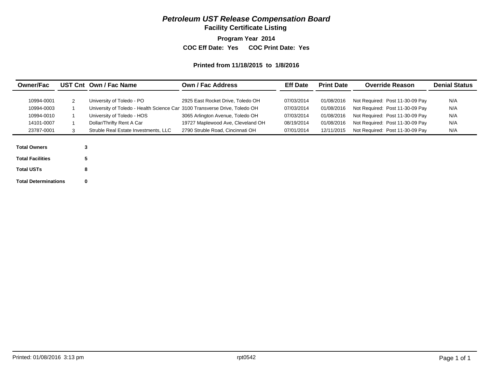# *Petroleum UST Release Compensation Board*

**Facility Certificate Listing**

**Program Year 2014**

**COC Eff Date: Yes COC Print Date: Yes** 

#### **Printed from 11/18/2015 to 1/8/2016**

| <b>Owner/Fac</b>        |              | UST Cnt Own / Fac Name                                                     | <b>Own / Fac Address</b>          | <b>Eff Date</b> | <b>Print Date</b> | <b>Override Reason</b>          | <b>Denial Status</b> |
|-------------------------|--------------|----------------------------------------------------------------------------|-----------------------------------|-----------------|-------------------|---------------------------------|----------------------|
| 10994-0001              | $\mathbf{2}$ | University of Toledo - PO                                                  | 2925 East Rocket Drive, Toledo OH | 07/03/2014      | 01/08/2016        | Not Required: Post 11-30-09 Pay | N/A                  |
| 10994-0003              |              | University of Toledo - Health Science Car 3100 Transverse Drive, Toledo OH |                                   | 07/03/2014      | 01/08/2016        | Not Required: Post 11-30-09 Pay | N/A                  |
| 10994-0010              |              | University of Toledo - HOS                                                 | 3065 Arlington Avenue, Toledo OH  | 07/03/2014      | 01/08/2016        | Not Required: Post 11-30-09 Pay | N/A                  |
| 14101-0007              |              | Dollar/Thrifty Rent A Car                                                  | 19727 Maplewood Ave, Cleveland OH | 08/19/2014      | 01/08/2016        | Not Required: Post 11-30-09 Pay | N/A                  |
| 23787-0001              | 3            | Struble Real Estate Investments, LLC                                       | 2790 Struble Road, Cincinnati OH  | 07/01/2014      | 12/11/2015        | Not Required: Post 11-30-09 Pay | N/A                  |
|                         |              |                                                                            |                                   |                 |                   |                                 |                      |
| <b>Total Owners</b>     | 3            |                                                                            |                                   |                 |                   |                                 |                      |
| <b>Total Facilities</b> |              | 5                                                                          |                                   |                 |                   |                                 |                      |
| <b>Total USTs</b>       |              | 8                                                                          |                                   |                 |                   |                                 |                      |

Printed: 01/08/2016 3:13 pm **Page 1 of 1 Page 1 of 1 Page 1 of 1** 

**Total Determinations 0**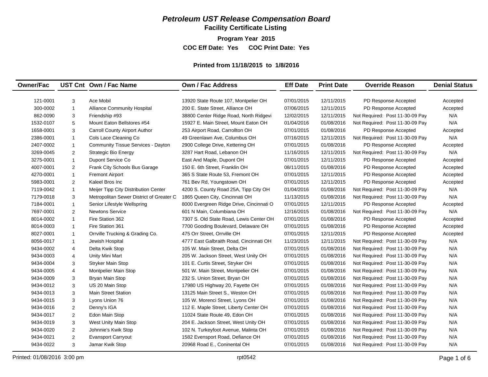# *Petroleum UST Release Compensation Board*

**Facility Certificate Listing**

**Program Year 2015**

**COC Eff Date: Yes COC Print Date: Yes** 

#### **Printed from 11/18/2015 to 1/8/2016**

| 121-0001<br>12/11/2015<br>3<br>Ace Mobil<br>13920 State Route 107, Montpelier OH<br>07/01/2015<br>PD Response Accepted<br>Accepted<br>$\mathbf{1}$<br><b>Alliance Community Hospital</b><br>200 E. State Street, Alliance OH<br>PD Response Accepted<br>300-0002<br>07/06/2015<br>12/11/2015<br>Accepted<br>862-0090<br>12/11/2015<br>Not Required: Post 11-30-09 Pay<br>N/A<br>3<br>Friendship #93<br>38800 Center Ridge Road, North Ridgevi<br>12/02/2015<br>5<br>Mount Eaton Bellstores #54<br>01/08/2016<br>Not Required: Post 11-30-09 Pay<br>N/A<br>1532-0107<br>15927 E. Main Street, Mount Eaton OH<br>01/04/2016<br>$\mathsf 3$<br>Carroll County Airport Author<br>253 Airport Road, Carrollton OH<br>01/08/2016<br>1658-0001<br>07/01/2015<br>PD Response Accepted<br>Accepted<br>N/A<br>Cols Lace Cleaning Co<br>49 Greenlawn Ave, Columbus OH<br>12/11/2015<br>Not Required: Post 11-30-09 Pay<br>2386-0001<br>$\mathbf{1}$<br>07/16/2015<br>2407-0002<br>Community Tissue Services - Dayton<br>2900 College Drive, Kettering OH<br>07/01/2015<br>01/08/2016<br>PD Response Accepted<br>$\mathbf{1}$<br>Accepted<br>2<br><b>Strategic Bio Energy</b><br>3287 Hart Road, Lebanon OH<br>11/16/2015<br>12/11/2015<br>Not Required: Post 11-30-09 Pay<br>N/A<br>3269-0045<br>Dupont Service Co<br>3275-0001<br>$\mathbf{1}$<br>East And Maple, Dupont OH<br>07/01/2015<br>12/11/2015<br>PD Response Accepted<br>Accepted<br>$\overline{2}$<br>Frank City Schools Bus Garage<br>150 E. 6th Street, Franklin OH<br>08/11/2015<br>01/08/2016<br>PD Response Accepted<br>4007-0001<br>Accepted<br>$\mathbf{1}$<br>4270-0001<br><b>Fremont Airport</b><br>365 S State Route 53. Fremont OH<br>07/01/2015<br>12/11/2015<br>PD Response Accepted<br>Accepted<br>2<br>5983-0001<br>Kaleel Bros Inc<br>761 Bev Rd, Youngstown OH<br>07/01/2015<br>12/11/2015<br>PD Response Accepted<br>Accepted<br>$\mathbf{1}$<br>4200 S. County Road 25A, Tipp City OH<br>01/04/2016<br>01/08/2016<br>N/A<br>7119-0042<br>Meijer Tipp City Distribution Center<br>Not Required: Post 11-30-09 Pay<br>1865 Queen City, Cincinnati OH<br>11/13/2015<br>01/08/2016<br>N/A<br>7179-0018<br>3<br>Metropolitan Sewer District of Greater C<br>Not Required: Post 11-30-09 Pay<br>$\mathbf{1}$<br>8000 Evergreen Ridge Drive, Cincinnati O<br>07/01/2015<br>12/11/2015<br>7184-0001<br>Senior Lifestyle Wellspring<br>PD Response Accepted<br>Accepted<br>N/A<br>7697-0001<br>$\overline{2}$<br><b>Newtons Service</b><br>601 N Main, Columbiana OH<br>12/16/2015<br>01/08/2016<br>Not Required: Post 11-30-09 Pay<br>8014-0002<br>$\mathbf{1}$<br>Fire Station 362<br>7307 S. Old State Road, Lewis Center OH<br>07/01/2015<br>01/08/2016<br>PD Response Accepted<br>Accepted<br>$\mathbf{1}$<br>Fire Station 361<br>7700 Gooding Boulevard, Delaware OH<br>07/01/2015<br>01/08/2016<br>PD Response Accepted<br>8014-0003<br>Accepted<br>$\mathbf{1}$<br>Orrville Trucking & Grading Co.<br>475 Orr Street, Orrville OH<br>07/01/2015<br>12/11/2015<br>PD Response Accepted<br>8027-0001<br>Accepted<br>N/A<br>$\mathbf{1}$<br>Jewish Hospital<br>4777 East Galbraith Road, Cincinnati OH<br>11/23/2015<br>12/11/2015<br>Not Required: Post 11-30-09 Pay<br>8056-0017<br>N/A<br>9434-0002<br>$\overline{4}$<br>Delta Kwik Stop<br>105 W. Main Street, Delta OH<br>07/01/2015<br>01/08/2016<br>Not Required: Post 11-30-09 Pay<br>N/A<br>4<br>Unity Mini Mart<br>205 W. Jackson Street, West Unity OH<br>07/01/2015<br>01/08/2016<br>Not Required: Post 11-30-09 Pay<br>9434-0003<br>N/A<br><b>Stryker Main Stop</b><br>101 E. Curtis Street, Stryker OH<br>07/01/2015<br>01/08/2016<br>Not Required: Post 11-30-09 Pay<br>9434-0004<br>3<br>N/A<br>9434-0005<br>$\overline{4}$<br>Montpelier Main Stop<br>501 W. Main Street, Montpelier OH<br>07/01/2015<br>01/08/2016<br>Not Required: Post 11-30-09 Pay<br>N/A<br>9434-0009<br>3<br>Bryan Main Stop<br>232 S. Union Street, Bryan OH<br>07/01/2015<br>01/08/2016<br>Not Required: Post 11-30-09 Pay<br>N/A<br>9434-0012<br>3<br>US 20 Main Stop<br>17980 US Highway 20, Fayette OH<br>07/01/2015<br>01/08/2016<br>Not Required: Post 11-30-09 Pay<br>3<br>N/A<br>9434-0013<br><b>Main Street Station</b><br>13125 Main Street S., Weston OH<br>07/01/2015<br>01/08/2016<br>Not Required: Post 11-30-09 Pay<br>3<br>N/A<br>9434-0015<br>Lyons Union 76<br>105 W. Morenci Street, Lyons OH<br>07/01/2015<br>01/08/2016<br>Not Required: Post 11-30-09 Pay<br>2<br>112 E. Maple Street, Liberty Center OH<br>07/01/2015<br>N/A<br>9434-0016<br>Denny's IGA<br>01/08/2016<br>Not Required: Post 11-30-09 Pay<br>$\overline{2}$<br>11024 State Route 49, Edon OH<br>07/01/2015<br>01/08/2016<br>N/A<br>9434-0017<br>Edon Main Stop<br>Not Required: Post 11-30-09 Pay<br>3<br>204 E. Jackson Street, West Unity OH<br>07/01/2015<br>01/08/2016<br>N/A<br>9434-0019<br>West Unity Main Stop<br>Not Required: Post 11-30-09 Pay<br>07/01/2015<br>01/08/2016<br>N/A<br>9434-0020<br>2<br>Johnnie's Kwik Stop<br>102 N. Turkeyfoot Avenue, Malinta OH<br>Not Required: Post 11-30-09 Pay<br>9434-0021<br>2<br>Evansport Carryout<br>1582 Evensport Road, Defiance OH<br>07/01/2015<br>01/08/2016<br>Not Required: Post 11-30-09 Pay<br>N/A | <b>Owner/Fac</b> |   | UST Cnt Own / Fac Name | <b>Own / Fac Address</b>     | <b>Eff Date</b> | <b>Print Date</b> | <b>Override Reason</b>          | <b>Denial Status</b> |
|-------------------------------------------------------------------------------------------------------------------------------------------------------------------------------------------------------------------------------------------------------------------------------------------------------------------------------------------------------------------------------------------------------------------------------------------------------------------------------------------------------------------------------------------------------------------------------------------------------------------------------------------------------------------------------------------------------------------------------------------------------------------------------------------------------------------------------------------------------------------------------------------------------------------------------------------------------------------------------------------------------------------------------------------------------------------------------------------------------------------------------------------------------------------------------------------------------------------------------------------------------------------------------------------------------------------------------------------------------------------------------------------------------------------------------------------------------------------------------------------------------------------------------------------------------------------------------------------------------------------------------------------------------------------------------------------------------------------------------------------------------------------------------------------------------------------------------------------------------------------------------------------------------------------------------------------------------------------------------------------------------------------------------------------------------------------------------------------------------------------------------------------------------------------------------------------------------------------------------------------------------------------------------------------------------------------------------------------------------------------------------------------------------------------------------------------------------------------------------------------------------------------------------------------------------------------------------------------------------------------------------------------------------------------------------------------------------------------------------------------------------------------------------------------------------------------------------------------------------------------------------------------------------------------------------------------------------------------------------------------------------------------------------------------------------------------------------------------------------------------------------------------------------------------------------------------------------------------------------------------------------------------------------------------------------------------------------------------------------------------------------------------------------------------------------------------------------------------------------------------------------------------------------------------------------------------------------------------------------------------------------------------------------------------------------------------------------------------------------------------------------------------------------------------------------------------------------------------------------------------------------------------------------------------------------------------------------------------------------------------------------------------------------------------------------------------------------------------------------------------------------------------------------------------------------------------------------------------------------------------------------------------------------------------------------------------------------------------------------------------------------------------------------------------------------------------------------------------------------------------------------------------------------------------------------------------------------------------------------------------------------------------------------------------------------------------------------------------------------------------------------------------------------------------------------------------------------------------------------------------------------------------------------------------------------------------------------------------------------------------------------------------------------------------------------------------------------------------------------------------------------------------------------------------------------------------------------------------------------------------------------------------|------------------|---|------------------------|------------------------------|-----------------|-------------------|---------------------------------|----------------------|
|                                                                                                                                                                                                                                                                                                                                                                                                                                                                                                                                                                                                                                                                                                                                                                                                                                                                                                                                                                                                                                                                                                                                                                                                                                                                                                                                                                                                                                                                                                                                                                                                                                                                                                                                                                                                                                                                                                                                                                                                                                                                                                                                                                                                                                                                                                                                                                                                                                                                                                                                                                                                                                                                                                                                                                                                                                                                                                                                                                                                                                                                                                                                                                                                                                                                                                                                                                                                                                                                                                                                                                                                                                                                                                                                                                                                                                                                                                                                                                                                                                                                                                                                                                                                                                                                                                                                                                                                                                                                                                                                                                                                                                                                                                                                                                                                                                                                                                                                                                                                                                                                                                                                                                                                                                                                   |                  |   |                        |                              |                 |                   |                                 |                      |
|                                                                                                                                                                                                                                                                                                                                                                                                                                                                                                                                                                                                                                                                                                                                                                                                                                                                                                                                                                                                                                                                                                                                                                                                                                                                                                                                                                                                                                                                                                                                                                                                                                                                                                                                                                                                                                                                                                                                                                                                                                                                                                                                                                                                                                                                                                                                                                                                                                                                                                                                                                                                                                                                                                                                                                                                                                                                                                                                                                                                                                                                                                                                                                                                                                                                                                                                                                                                                                                                                                                                                                                                                                                                                                                                                                                                                                                                                                                                                                                                                                                                                                                                                                                                                                                                                                                                                                                                                                                                                                                                                                                                                                                                                                                                                                                                                                                                                                                                                                                                                                                                                                                                                                                                                                                                   |                  |   |                        |                              |                 |                   |                                 |                      |
|                                                                                                                                                                                                                                                                                                                                                                                                                                                                                                                                                                                                                                                                                                                                                                                                                                                                                                                                                                                                                                                                                                                                                                                                                                                                                                                                                                                                                                                                                                                                                                                                                                                                                                                                                                                                                                                                                                                                                                                                                                                                                                                                                                                                                                                                                                                                                                                                                                                                                                                                                                                                                                                                                                                                                                                                                                                                                                                                                                                                                                                                                                                                                                                                                                                                                                                                                                                                                                                                                                                                                                                                                                                                                                                                                                                                                                                                                                                                                                                                                                                                                                                                                                                                                                                                                                                                                                                                                                                                                                                                                                                                                                                                                                                                                                                                                                                                                                                                                                                                                                                                                                                                                                                                                                                                   |                  |   |                        |                              |                 |                   |                                 |                      |
|                                                                                                                                                                                                                                                                                                                                                                                                                                                                                                                                                                                                                                                                                                                                                                                                                                                                                                                                                                                                                                                                                                                                                                                                                                                                                                                                                                                                                                                                                                                                                                                                                                                                                                                                                                                                                                                                                                                                                                                                                                                                                                                                                                                                                                                                                                                                                                                                                                                                                                                                                                                                                                                                                                                                                                                                                                                                                                                                                                                                                                                                                                                                                                                                                                                                                                                                                                                                                                                                                                                                                                                                                                                                                                                                                                                                                                                                                                                                                                                                                                                                                                                                                                                                                                                                                                                                                                                                                                                                                                                                                                                                                                                                                                                                                                                                                                                                                                                                                                                                                                                                                                                                                                                                                                                                   |                  |   |                        |                              |                 |                   |                                 |                      |
|                                                                                                                                                                                                                                                                                                                                                                                                                                                                                                                                                                                                                                                                                                                                                                                                                                                                                                                                                                                                                                                                                                                                                                                                                                                                                                                                                                                                                                                                                                                                                                                                                                                                                                                                                                                                                                                                                                                                                                                                                                                                                                                                                                                                                                                                                                                                                                                                                                                                                                                                                                                                                                                                                                                                                                                                                                                                                                                                                                                                                                                                                                                                                                                                                                                                                                                                                                                                                                                                                                                                                                                                                                                                                                                                                                                                                                                                                                                                                                                                                                                                                                                                                                                                                                                                                                                                                                                                                                                                                                                                                                                                                                                                                                                                                                                                                                                                                                                                                                                                                                                                                                                                                                                                                                                                   |                  |   |                        |                              |                 |                   |                                 |                      |
|                                                                                                                                                                                                                                                                                                                                                                                                                                                                                                                                                                                                                                                                                                                                                                                                                                                                                                                                                                                                                                                                                                                                                                                                                                                                                                                                                                                                                                                                                                                                                                                                                                                                                                                                                                                                                                                                                                                                                                                                                                                                                                                                                                                                                                                                                                                                                                                                                                                                                                                                                                                                                                                                                                                                                                                                                                                                                                                                                                                                                                                                                                                                                                                                                                                                                                                                                                                                                                                                                                                                                                                                                                                                                                                                                                                                                                                                                                                                                                                                                                                                                                                                                                                                                                                                                                                                                                                                                                                                                                                                                                                                                                                                                                                                                                                                                                                                                                                                                                                                                                                                                                                                                                                                                                                                   |                  |   |                        |                              |                 |                   |                                 |                      |
|                                                                                                                                                                                                                                                                                                                                                                                                                                                                                                                                                                                                                                                                                                                                                                                                                                                                                                                                                                                                                                                                                                                                                                                                                                                                                                                                                                                                                                                                                                                                                                                                                                                                                                                                                                                                                                                                                                                                                                                                                                                                                                                                                                                                                                                                                                                                                                                                                                                                                                                                                                                                                                                                                                                                                                                                                                                                                                                                                                                                                                                                                                                                                                                                                                                                                                                                                                                                                                                                                                                                                                                                                                                                                                                                                                                                                                                                                                                                                                                                                                                                                                                                                                                                                                                                                                                                                                                                                                                                                                                                                                                                                                                                                                                                                                                                                                                                                                                                                                                                                                                                                                                                                                                                                                                                   |                  |   |                        |                              |                 |                   |                                 |                      |
|                                                                                                                                                                                                                                                                                                                                                                                                                                                                                                                                                                                                                                                                                                                                                                                                                                                                                                                                                                                                                                                                                                                                                                                                                                                                                                                                                                                                                                                                                                                                                                                                                                                                                                                                                                                                                                                                                                                                                                                                                                                                                                                                                                                                                                                                                                                                                                                                                                                                                                                                                                                                                                                                                                                                                                                                                                                                                                                                                                                                                                                                                                                                                                                                                                                                                                                                                                                                                                                                                                                                                                                                                                                                                                                                                                                                                                                                                                                                                                                                                                                                                                                                                                                                                                                                                                                                                                                                                                                                                                                                                                                                                                                                                                                                                                                                                                                                                                                                                                                                                                                                                                                                                                                                                                                                   |                  |   |                        |                              |                 |                   |                                 |                      |
|                                                                                                                                                                                                                                                                                                                                                                                                                                                                                                                                                                                                                                                                                                                                                                                                                                                                                                                                                                                                                                                                                                                                                                                                                                                                                                                                                                                                                                                                                                                                                                                                                                                                                                                                                                                                                                                                                                                                                                                                                                                                                                                                                                                                                                                                                                                                                                                                                                                                                                                                                                                                                                                                                                                                                                                                                                                                                                                                                                                                                                                                                                                                                                                                                                                                                                                                                                                                                                                                                                                                                                                                                                                                                                                                                                                                                                                                                                                                                                                                                                                                                                                                                                                                                                                                                                                                                                                                                                                                                                                                                                                                                                                                                                                                                                                                                                                                                                                                                                                                                                                                                                                                                                                                                                                                   |                  |   |                        |                              |                 |                   |                                 |                      |
|                                                                                                                                                                                                                                                                                                                                                                                                                                                                                                                                                                                                                                                                                                                                                                                                                                                                                                                                                                                                                                                                                                                                                                                                                                                                                                                                                                                                                                                                                                                                                                                                                                                                                                                                                                                                                                                                                                                                                                                                                                                                                                                                                                                                                                                                                                                                                                                                                                                                                                                                                                                                                                                                                                                                                                                                                                                                                                                                                                                                                                                                                                                                                                                                                                                                                                                                                                                                                                                                                                                                                                                                                                                                                                                                                                                                                                                                                                                                                                                                                                                                                                                                                                                                                                                                                                                                                                                                                                                                                                                                                                                                                                                                                                                                                                                                                                                                                                                                                                                                                                                                                                                                                                                                                                                                   |                  |   |                        |                              |                 |                   |                                 |                      |
|                                                                                                                                                                                                                                                                                                                                                                                                                                                                                                                                                                                                                                                                                                                                                                                                                                                                                                                                                                                                                                                                                                                                                                                                                                                                                                                                                                                                                                                                                                                                                                                                                                                                                                                                                                                                                                                                                                                                                                                                                                                                                                                                                                                                                                                                                                                                                                                                                                                                                                                                                                                                                                                                                                                                                                                                                                                                                                                                                                                                                                                                                                                                                                                                                                                                                                                                                                                                                                                                                                                                                                                                                                                                                                                                                                                                                                                                                                                                                                                                                                                                                                                                                                                                                                                                                                                                                                                                                                                                                                                                                                                                                                                                                                                                                                                                                                                                                                                                                                                                                                                                                                                                                                                                                                                                   |                  |   |                        |                              |                 |                   |                                 |                      |
|                                                                                                                                                                                                                                                                                                                                                                                                                                                                                                                                                                                                                                                                                                                                                                                                                                                                                                                                                                                                                                                                                                                                                                                                                                                                                                                                                                                                                                                                                                                                                                                                                                                                                                                                                                                                                                                                                                                                                                                                                                                                                                                                                                                                                                                                                                                                                                                                                                                                                                                                                                                                                                                                                                                                                                                                                                                                                                                                                                                                                                                                                                                                                                                                                                                                                                                                                                                                                                                                                                                                                                                                                                                                                                                                                                                                                                                                                                                                                                                                                                                                                                                                                                                                                                                                                                                                                                                                                                                                                                                                                                                                                                                                                                                                                                                                                                                                                                                                                                                                                                                                                                                                                                                                                                                                   |                  |   |                        |                              |                 |                   |                                 |                      |
|                                                                                                                                                                                                                                                                                                                                                                                                                                                                                                                                                                                                                                                                                                                                                                                                                                                                                                                                                                                                                                                                                                                                                                                                                                                                                                                                                                                                                                                                                                                                                                                                                                                                                                                                                                                                                                                                                                                                                                                                                                                                                                                                                                                                                                                                                                                                                                                                                                                                                                                                                                                                                                                                                                                                                                                                                                                                                                                                                                                                                                                                                                                                                                                                                                                                                                                                                                                                                                                                                                                                                                                                                                                                                                                                                                                                                                                                                                                                                                                                                                                                                                                                                                                                                                                                                                                                                                                                                                                                                                                                                                                                                                                                                                                                                                                                                                                                                                                                                                                                                                                                                                                                                                                                                                                                   |                  |   |                        |                              |                 |                   |                                 |                      |
|                                                                                                                                                                                                                                                                                                                                                                                                                                                                                                                                                                                                                                                                                                                                                                                                                                                                                                                                                                                                                                                                                                                                                                                                                                                                                                                                                                                                                                                                                                                                                                                                                                                                                                                                                                                                                                                                                                                                                                                                                                                                                                                                                                                                                                                                                                                                                                                                                                                                                                                                                                                                                                                                                                                                                                                                                                                                                                                                                                                                                                                                                                                                                                                                                                                                                                                                                                                                                                                                                                                                                                                                                                                                                                                                                                                                                                                                                                                                                                                                                                                                                                                                                                                                                                                                                                                                                                                                                                                                                                                                                                                                                                                                                                                                                                                                                                                                                                                                                                                                                                                                                                                                                                                                                                                                   |                  |   |                        |                              |                 |                   |                                 |                      |
|                                                                                                                                                                                                                                                                                                                                                                                                                                                                                                                                                                                                                                                                                                                                                                                                                                                                                                                                                                                                                                                                                                                                                                                                                                                                                                                                                                                                                                                                                                                                                                                                                                                                                                                                                                                                                                                                                                                                                                                                                                                                                                                                                                                                                                                                                                                                                                                                                                                                                                                                                                                                                                                                                                                                                                                                                                                                                                                                                                                                                                                                                                                                                                                                                                                                                                                                                                                                                                                                                                                                                                                                                                                                                                                                                                                                                                                                                                                                                                                                                                                                                                                                                                                                                                                                                                                                                                                                                                                                                                                                                                                                                                                                                                                                                                                                                                                                                                                                                                                                                                                                                                                                                                                                                                                                   |                  |   |                        |                              |                 |                   |                                 |                      |
|                                                                                                                                                                                                                                                                                                                                                                                                                                                                                                                                                                                                                                                                                                                                                                                                                                                                                                                                                                                                                                                                                                                                                                                                                                                                                                                                                                                                                                                                                                                                                                                                                                                                                                                                                                                                                                                                                                                                                                                                                                                                                                                                                                                                                                                                                                                                                                                                                                                                                                                                                                                                                                                                                                                                                                                                                                                                                                                                                                                                                                                                                                                                                                                                                                                                                                                                                                                                                                                                                                                                                                                                                                                                                                                                                                                                                                                                                                                                                                                                                                                                                                                                                                                                                                                                                                                                                                                                                                                                                                                                                                                                                                                                                                                                                                                                                                                                                                                                                                                                                                                                                                                                                                                                                                                                   |                  |   |                        |                              |                 |                   |                                 |                      |
|                                                                                                                                                                                                                                                                                                                                                                                                                                                                                                                                                                                                                                                                                                                                                                                                                                                                                                                                                                                                                                                                                                                                                                                                                                                                                                                                                                                                                                                                                                                                                                                                                                                                                                                                                                                                                                                                                                                                                                                                                                                                                                                                                                                                                                                                                                                                                                                                                                                                                                                                                                                                                                                                                                                                                                                                                                                                                                                                                                                                                                                                                                                                                                                                                                                                                                                                                                                                                                                                                                                                                                                                                                                                                                                                                                                                                                                                                                                                                                                                                                                                                                                                                                                                                                                                                                                                                                                                                                                                                                                                                                                                                                                                                                                                                                                                                                                                                                                                                                                                                                                                                                                                                                                                                                                                   |                  |   |                        |                              |                 |                   |                                 |                      |
|                                                                                                                                                                                                                                                                                                                                                                                                                                                                                                                                                                                                                                                                                                                                                                                                                                                                                                                                                                                                                                                                                                                                                                                                                                                                                                                                                                                                                                                                                                                                                                                                                                                                                                                                                                                                                                                                                                                                                                                                                                                                                                                                                                                                                                                                                                                                                                                                                                                                                                                                                                                                                                                                                                                                                                                                                                                                                                                                                                                                                                                                                                                                                                                                                                                                                                                                                                                                                                                                                                                                                                                                                                                                                                                                                                                                                                                                                                                                                                                                                                                                                                                                                                                                                                                                                                                                                                                                                                                                                                                                                                                                                                                                                                                                                                                                                                                                                                                                                                                                                                                                                                                                                                                                                                                                   |                  |   |                        |                              |                 |                   |                                 |                      |
|                                                                                                                                                                                                                                                                                                                                                                                                                                                                                                                                                                                                                                                                                                                                                                                                                                                                                                                                                                                                                                                                                                                                                                                                                                                                                                                                                                                                                                                                                                                                                                                                                                                                                                                                                                                                                                                                                                                                                                                                                                                                                                                                                                                                                                                                                                                                                                                                                                                                                                                                                                                                                                                                                                                                                                                                                                                                                                                                                                                                                                                                                                                                                                                                                                                                                                                                                                                                                                                                                                                                                                                                                                                                                                                                                                                                                                                                                                                                                                                                                                                                                                                                                                                                                                                                                                                                                                                                                                                                                                                                                                                                                                                                                                                                                                                                                                                                                                                                                                                                                                                                                                                                                                                                                                                                   |                  |   |                        |                              |                 |                   |                                 |                      |
|                                                                                                                                                                                                                                                                                                                                                                                                                                                                                                                                                                                                                                                                                                                                                                                                                                                                                                                                                                                                                                                                                                                                                                                                                                                                                                                                                                                                                                                                                                                                                                                                                                                                                                                                                                                                                                                                                                                                                                                                                                                                                                                                                                                                                                                                                                                                                                                                                                                                                                                                                                                                                                                                                                                                                                                                                                                                                                                                                                                                                                                                                                                                                                                                                                                                                                                                                                                                                                                                                                                                                                                                                                                                                                                                                                                                                                                                                                                                                                                                                                                                                                                                                                                                                                                                                                                                                                                                                                                                                                                                                                                                                                                                                                                                                                                                                                                                                                                                                                                                                                                                                                                                                                                                                                                                   |                  |   |                        |                              |                 |                   |                                 |                      |
|                                                                                                                                                                                                                                                                                                                                                                                                                                                                                                                                                                                                                                                                                                                                                                                                                                                                                                                                                                                                                                                                                                                                                                                                                                                                                                                                                                                                                                                                                                                                                                                                                                                                                                                                                                                                                                                                                                                                                                                                                                                                                                                                                                                                                                                                                                                                                                                                                                                                                                                                                                                                                                                                                                                                                                                                                                                                                                                                                                                                                                                                                                                                                                                                                                                                                                                                                                                                                                                                                                                                                                                                                                                                                                                                                                                                                                                                                                                                                                                                                                                                                                                                                                                                                                                                                                                                                                                                                                                                                                                                                                                                                                                                                                                                                                                                                                                                                                                                                                                                                                                                                                                                                                                                                                                                   |                  |   |                        |                              |                 |                   |                                 |                      |
|                                                                                                                                                                                                                                                                                                                                                                                                                                                                                                                                                                                                                                                                                                                                                                                                                                                                                                                                                                                                                                                                                                                                                                                                                                                                                                                                                                                                                                                                                                                                                                                                                                                                                                                                                                                                                                                                                                                                                                                                                                                                                                                                                                                                                                                                                                                                                                                                                                                                                                                                                                                                                                                                                                                                                                                                                                                                                                                                                                                                                                                                                                                                                                                                                                                                                                                                                                                                                                                                                                                                                                                                                                                                                                                                                                                                                                                                                                                                                                                                                                                                                                                                                                                                                                                                                                                                                                                                                                                                                                                                                                                                                                                                                                                                                                                                                                                                                                                                                                                                                                                                                                                                                                                                                                                                   |                  |   |                        |                              |                 |                   |                                 |                      |
|                                                                                                                                                                                                                                                                                                                                                                                                                                                                                                                                                                                                                                                                                                                                                                                                                                                                                                                                                                                                                                                                                                                                                                                                                                                                                                                                                                                                                                                                                                                                                                                                                                                                                                                                                                                                                                                                                                                                                                                                                                                                                                                                                                                                                                                                                                                                                                                                                                                                                                                                                                                                                                                                                                                                                                                                                                                                                                                                                                                                                                                                                                                                                                                                                                                                                                                                                                                                                                                                                                                                                                                                                                                                                                                                                                                                                                                                                                                                                                                                                                                                                                                                                                                                                                                                                                                                                                                                                                                                                                                                                                                                                                                                                                                                                                                                                                                                                                                                                                                                                                                                                                                                                                                                                                                                   |                  |   |                        |                              |                 |                   |                                 |                      |
|                                                                                                                                                                                                                                                                                                                                                                                                                                                                                                                                                                                                                                                                                                                                                                                                                                                                                                                                                                                                                                                                                                                                                                                                                                                                                                                                                                                                                                                                                                                                                                                                                                                                                                                                                                                                                                                                                                                                                                                                                                                                                                                                                                                                                                                                                                                                                                                                                                                                                                                                                                                                                                                                                                                                                                                                                                                                                                                                                                                                                                                                                                                                                                                                                                                                                                                                                                                                                                                                                                                                                                                                                                                                                                                                                                                                                                                                                                                                                                                                                                                                                                                                                                                                                                                                                                                                                                                                                                                                                                                                                                                                                                                                                                                                                                                                                                                                                                                                                                                                                                                                                                                                                                                                                                                                   |                  |   |                        |                              |                 |                   |                                 |                      |
|                                                                                                                                                                                                                                                                                                                                                                                                                                                                                                                                                                                                                                                                                                                                                                                                                                                                                                                                                                                                                                                                                                                                                                                                                                                                                                                                                                                                                                                                                                                                                                                                                                                                                                                                                                                                                                                                                                                                                                                                                                                                                                                                                                                                                                                                                                                                                                                                                                                                                                                                                                                                                                                                                                                                                                                                                                                                                                                                                                                                                                                                                                                                                                                                                                                                                                                                                                                                                                                                                                                                                                                                                                                                                                                                                                                                                                                                                                                                                                                                                                                                                                                                                                                                                                                                                                                                                                                                                                                                                                                                                                                                                                                                                                                                                                                                                                                                                                                                                                                                                                                                                                                                                                                                                                                                   |                  |   |                        |                              |                 |                   |                                 |                      |
|                                                                                                                                                                                                                                                                                                                                                                                                                                                                                                                                                                                                                                                                                                                                                                                                                                                                                                                                                                                                                                                                                                                                                                                                                                                                                                                                                                                                                                                                                                                                                                                                                                                                                                                                                                                                                                                                                                                                                                                                                                                                                                                                                                                                                                                                                                                                                                                                                                                                                                                                                                                                                                                                                                                                                                                                                                                                                                                                                                                                                                                                                                                                                                                                                                                                                                                                                                                                                                                                                                                                                                                                                                                                                                                                                                                                                                                                                                                                                                                                                                                                                                                                                                                                                                                                                                                                                                                                                                                                                                                                                                                                                                                                                                                                                                                                                                                                                                                                                                                                                                                                                                                                                                                                                                                                   |                  |   |                        |                              |                 |                   |                                 |                      |
|                                                                                                                                                                                                                                                                                                                                                                                                                                                                                                                                                                                                                                                                                                                                                                                                                                                                                                                                                                                                                                                                                                                                                                                                                                                                                                                                                                                                                                                                                                                                                                                                                                                                                                                                                                                                                                                                                                                                                                                                                                                                                                                                                                                                                                                                                                                                                                                                                                                                                                                                                                                                                                                                                                                                                                                                                                                                                                                                                                                                                                                                                                                                                                                                                                                                                                                                                                                                                                                                                                                                                                                                                                                                                                                                                                                                                                                                                                                                                                                                                                                                                                                                                                                                                                                                                                                                                                                                                                                                                                                                                                                                                                                                                                                                                                                                                                                                                                                                                                                                                                                                                                                                                                                                                                                                   |                  |   |                        |                              |                 |                   |                                 |                      |
|                                                                                                                                                                                                                                                                                                                                                                                                                                                                                                                                                                                                                                                                                                                                                                                                                                                                                                                                                                                                                                                                                                                                                                                                                                                                                                                                                                                                                                                                                                                                                                                                                                                                                                                                                                                                                                                                                                                                                                                                                                                                                                                                                                                                                                                                                                                                                                                                                                                                                                                                                                                                                                                                                                                                                                                                                                                                                                                                                                                                                                                                                                                                                                                                                                                                                                                                                                                                                                                                                                                                                                                                                                                                                                                                                                                                                                                                                                                                                                                                                                                                                                                                                                                                                                                                                                                                                                                                                                                                                                                                                                                                                                                                                                                                                                                                                                                                                                                                                                                                                                                                                                                                                                                                                                                                   |                  |   |                        |                              |                 |                   |                                 |                      |
|                                                                                                                                                                                                                                                                                                                                                                                                                                                                                                                                                                                                                                                                                                                                                                                                                                                                                                                                                                                                                                                                                                                                                                                                                                                                                                                                                                                                                                                                                                                                                                                                                                                                                                                                                                                                                                                                                                                                                                                                                                                                                                                                                                                                                                                                                                                                                                                                                                                                                                                                                                                                                                                                                                                                                                                                                                                                                                                                                                                                                                                                                                                                                                                                                                                                                                                                                                                                                                                                                                                                                                                                                                                                                                                                                                                                                                                                                                                                                                                                                                                                                                                                                                                                                                                                                                                                                                                                                                                                                                                                                                                                                                                                                                                                                                                                                                                                                                                                                                                                                                                                                                                                                                                                                                                                   |                  |   |                        |                              |                 |                   |                                 |                      |
|                                                                                                                                                                                                                                                                                                                                                                                                                                                                                                                                                                                                                                                                                                                                                                                                                                                                                                                                                                                                                                                                                                                                                                                                                                                                                                                                                                                                                                                                                                                                                                                                                                                                                                                                                                                                                                                                                                                                                                                                                                                                                                                                                                                                                                                                                                                                                                                                                                                                                                                                                                                                                                                                                                                                                                                                                                                                                                                                                                                                                                                                                                                                                                                                                                                                                                                                                                                                                                                                                                                                                                                                                                                                                                                                                                                                                                                                                                                                                                                                                                                                                                                                                                                                                                                                                                                                                                                                                                                                                                                                                                                                                                                                                                                                                                                                                                                                                                                                                                                                                                                                                                                                                                                                                                                                   |                  |   |                        |                              |                 |                   |                                 |                      |
|                                                                                                                                                                                                                                                                                                                                                                                                                                                                                                                                                                                                                                                                                                                                                                                                                                                                                                                                                                                                                                                                                                                                                                                                                                                                                                                                                                                                                                                                                                                                                                                                                                                                                                                                                                                                                                                                                                                                                                                                                                                                                                                                                                                                                                                                                                                                                                                                                                                                                                                                                                                                                                                                                                                                                                                                                                                                                                                                                                                                                                                                                                                                                                                                                                                                                                                                                                                                                                                                                                                                                                                                                                                                                                                                                                                                                                                                                                                                                                                                                                                                                                                                                                                                                                                                                                                                                                                                                                                                                                                                                                                                                                                                                                                                                                                                                                                                                                                                                                                                                                                                                                                                                                                                                                                                   |                  |   |                        |                              |                 |                   |                                 |                      |
|                                                                                                                                                                                                                                                                                                                                                                                                                                                                                                                                                                                                                                                                                                                                                                                                                                                                                                                                                                                                                                                                                                                                                                                                                                                                                                                                                                                                                                                                                                                                                                                                                                                                                                                                                                                                                                                                                                                                                                                                                                                                                                                                                                                                                                                                                                                                                                                                                                                                                                                                                                                                                                                                                                                                                                                                                                                                                                                                                                                                                                                                                                                                                                                                                                                                                                                                                                                                                                                                                                                                                                                                                                                                                                                                                                                                                                                                                                                                                                                                                                                                                                                                                                                                                                                                                                                                                                                                                                                                                                                                                                                                                                                                                                                                                                                                                                                                                                                                                                                                                                                                                                                                                                                                                                                                   |                  |   |                        |                              |                 |                   |                                 |                      |
|                                                                                                                                                                                                                                                                                                                                                                                                                                                                                                                                                                                                                                                                                                                                                                                                                                                                                                                                                                                                                                                                                                                                                                                                                                                                                                                                                                                                                                                                                                                                                                                                                                                                                                                                                                                                                                                                                                                                                                                                                                                                                                                                                                                                                                                                                                                                                                                                                                                                                                                                                                                                                                                                                                                                                                                                                                                                                                                                                                                                                                                                                                                                                                                                                                                                                                                                                                                                                                                                                                                                                                                                                                                                                                                                                                                                                                                                                                                                                                                                                                                                                                                                                                                                                                                                                                                                                                                                                                                                                                                                                                                                                                                                                                                                                                                                                                                                                                                                                                                                                                                                                                                                                                                                                                                                   |                  |   |                        |                              |                 |                   |                                 |                      |
|                                                                                                                                                                                                                                                                                                                                                                                                                                                                                                                                                                                                                                                                                                                                                                                                                                                                                                                                                                                                                                                                                                                                                                                                                                                                                                                                                                                                                                                                                                                                                                                                                                                                                                                                                                                                                                                                                                                                                                                                                                                                                                                                                                                                                                                                                                                                                                                                                                                                                                                                                                                                                                                                                                                                                                                                                                                                                                                                                                                                                                                                                                                                                                                                                                                                                                                                                                                                                                                                                                                                                                                                                                                                                                                                                                                                                                                                                                                                                                                                                                                                                                                                                                                                                                                                                                                                                                                                                                                                                                                                                                                                                                                                                                                                                                                                                                                                                                                                                                                                                                                                                                                                                                                                                                                                   |                  |   |                        |                              |                 |                   |                                 |                      |
|                                                                                                                                                                                                                                                                                                                                                                                                                                                                                                                                                                                                                                                                                                                                                                                                                                                                                                                                                                                                                                                                                                                                                                                                                                                                                                                                                                                                                                                                                                                                                                                                                                                                                                                                                                                                                                                                                                                                                                                                                                                                                                                                                                                                                                                                                                                                                                                                                                                                                                                                                                                                                                                                                                                                                                                                                                                                                                                                                                                                                                                                                                                                                                                                                                                                                                                                                                                                                                                                                                                                                                                                                                                                                                                                                                                                                                                                                                                                                                                                                                                                                                                                                                                                                                                                                                                                                                                                                                                                                                                                                                                                                                                                                                                                                                                                                                                                                                                                                                                                                                                                                                                                                                                                                                                                   | 9434-0022        | 3 | Jamar Kwik Stop        | 20968 Road E., Coninental OH | 07/01/2015      | 01/08/2016        | Not Required: Post 11-30-09 Pay | N/A                  |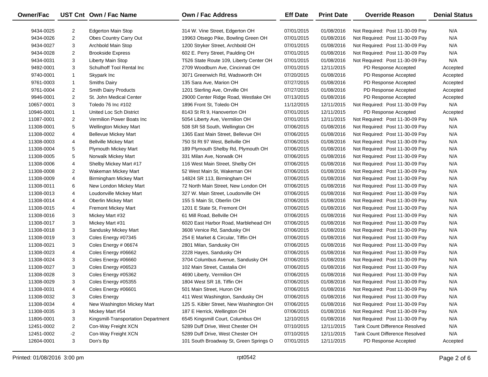| Owner/Fac  |                | UST Cnt Own / Fac Name              | <b>Own / Fac Address</b>                | <b>Eff Date</b> | <b>Print Date</b> | <b>Override Reason</b>                | <b>Denial Status</b> |
|------------|----------------|-------------------------------------|-----------------------------------------|-----------------|-------------------|---------------------------------------|----------------------|
| 9434-0025  | 2              | Edgerton Main Stop                  | 314 W. Vine Street, Edgerton OH         | 07/01/2015      | 01/08/2016        | Not Required: Post 11-30-09 Pay       | N/A                  |
| 9434-0026  | $\overline{2}$ | Obes Country Carry Out              | 19963 Otsego Pike, Bowling Green OH     | 07/01/2015      | 01/08/2016        | Not Required: Post 11-30-09 Pay       | N/A                  |
| 9434-0027  | 3              | Archbold Main Stop                  | 1200 Stryker Street, Archbold OH        | 07/01/2015      | 01/08/2016        | Not Required: Post 11-30-09 Pay       | N/A                  |
| 9434-0028  | $\overline{c}$ | <b>Brookside Express</b>            | 602 E. Perry Street, Paulding OH        | 07/01/2015      | 01/08/2016        | Not Required: Post 11-30-09 Pay       | N/A                  |
| 9434-0031  | 3              | Liberty Main Stop                   | T526 State Route 109, Liberty Center OH | 07/01/2015      | 01/08/2016        | Not Required: Post 11-30-09 Pay       | N/A                  |
| 9492-0001  | 3              | Schulhoff Tool Rental Inc           | 2709 Woodburn Ave, Cincinnati OH        | 07/01/2015      | 12/11/2015        | PD Response Accepted                  | Accepted             |
| 9740-0001  | $\mathbf{1}$   | Skypark Inc                         | 3071 Greenwich Rd, Wadsworth OH         | 07/20/2015      | 01/08/2016        | PD Response Accepted                  | Accepted             |
| 9761-0003  | $\mathbf{1}$   | <b>Smiths Dairy</b>                 | 135 Sara Ave, Marion OH                 | 07/27/2015      | 01/08/2016        | PD Response Accepted                  | Accepted             |
| 9761-0004  | $\overline{c}$ | Smith Dairy Products                | 1201 Sterling Ave, Orrville OH          | 07/27/2015      | 01/08/2016        | PD Response Accepted                  | Accepted             |
| 9946-0001  | $\overline{2}$ | St. John Medical Center             | 29000 Center Ridge Road, Westlake OH    | 07/13/2015      | 01/08/2016        | PD Response Accepted                  | Accepted             |
| 10657-0001 | 3              | Toledo 76 Inc #102                  | 1896 Front St, Toledo OH                | 11/12/2015      | 12/11/2015        | Not Required: Post 11-30-09 Pay       | N/A                  |
| 10946-0001 | $\mathbf{1}$   | United Loc Sch District             | 8143 St Rt 9, Hanoverton OH             | 07/01/2015      | 12/11/2015        | PD Response Accepted                  | Accepted             |
| 11087-0001 | $\overline{2}$ | Vermilion Power Boats Inc           | 5054 Liberty Ave, Vermilion OH          | 07/01/2015      | 12/11/2015        | Not Required: Post 11-30-09 Pay       | N/A                  |
| 11308-0001 | 5              | <b>Wellington Mickey Mart</b>       | 508 SR 58 South, Wellington OH          | 07/06/2015      | 01/08/2016        | Not Required: Post 11-30-09 Pay       | N/A                  |
| 11308-0002 | 4              | <b>Bellevue Mickey Mart</b>         | 1365 East Main Street, Bellevue OH      | 07/06/2015      | 01/08/2016        | Not Required: Post 11-30-09 Pay       | N/A                  |
| 11308-0003 | 4              | <b>Bellville Mickey Mart</b>        | 750 St Rt 97 West, Bellville OH         | 07/06/2015      | 01/08/2016        | Not Required: Post 11-30-09 Pay       | N/A                  |
| 11308-0004 | 5              | <b>Plymouth Mickey Mart</b>         | 189 Plymouth Shelby Rd, Plymouth OH     | 07/06/2015      | 01/08/2016        | Not Required: Post 11-30-09 Pay       | N/A                  |
| 11308-0005 | 5              | Norwalk Mickey Mart                 | 331 Milan Ave, Norwalk OH               | 07/06/2015      | 01/08/2016        | Not Required: Post 11-30-09 Pay       | N/A                  |
| 11308-0006 | 4              | Shelby Mickey Mart #17              | 116 West Main Street, Shelby OH         | 07/06/2015      | 01/08/2016        | Not Required: Post 11-30-09 Pay       | N/A                  |
| 11308-0008 | $\overline{2}$ | Wakeman Mickey Mart                 | 52 West Main St, Wakeman OH             | 07/06/2015      | 01/08/2016        | Not Required: Post 11-30-09 Pay       | N/A                  |
| 11308-0009 | 4              | Birmingham Mickey Mart              | 14824 SR 113, Birmingham OH             | 07/06/2015      | 01/08/2016        | Not Required: Post 11-30-09 Pay       | N/A                  |
| 11308-0011 | 6              | New London Mickey Mart              | 72 North Main Street, New London OH     | 07/06/2015      | 01/08/2016        | Not Required: Post 11-30-09 Pay       | N/A                  |
| 11308-0013 | 4              | Loudonville Mickey Mart             | 327 W. Main Street, Loudonville OH      | 07/06/2015      | 01/08/2016        | Not Required: Post 11-30-09 Pay       | N/A                  |
| 11308-0014 | 4              | <b>Oberlin Mickey Mart</b>          | 155 S Main St, Oberlin OH               | 07/06/2015      | 01/08/2016        | Not Required: Post 11-30-09 Pay       | N/A                  |
| 11308-0015 | 4              | <b>Fremont Mickey Mart</b>          | 1201 E State St, Fremont OH             | 07/06/2015      | 01/08/2016        | Not Required: Post 11-30-09 Pay       | N/A                  |
| 11308-0016 | 3              | Mickey Mart #32                     | 61 Mill Road, Bellville OH              | 07/06/2015      | 01/08/2016        | Not Required: Post 11-30-09 Pay       | N/A                  |
| 11308-0017 | 3              | Mickey Mart #31                     | 6020 East Harbor Road, Marblehead OH    | 07/06/2015      | 01/08/2016        | Not Required: Post 11-30-09 Pay       | N/A                  |
| 11308-0018 | 3              | Sandusky Mickey Mart                | 3608 Venice Rd, Sandusky OH             | 07/06/2015      | 01/08/2016        | Not Required: Post 11-30-09 Pay       | N/A                  |
| 11308-0019 | 3              | Coles Energy #07345                 | 254 E Market & Circular, Tiffin OH      | 07/06/2015      | 01/08/2016        | Not Required: Post 11-30-09 Pay       | N/A                  |
| 11308-0021 | 3              | Coles Energy # 06674                | 2801 Milan, Sandusky OH                 | 07/06/2015      | 01/08/2016        | Not Required: Post 11-30-09 Pay       | N/A                  |
| 11308-0023 | 4              | Coles Energy #06662                 | 2228 Hayes, Sandusky OH                 | 07/06/2015      | 01/08/2016        | Not Required: Post 11-30-09 Pay       | N/A                  |
| 11308-0024 | 3              | Coles Energy #06660                 | 3704 Columbus Avenue, Sandusky OH       | 07/06/2015      | 01/08/2016        | Not Required: Post 11-30-09 Pay       | N/A                  |
| 11308-0027 | 3              | Coles Energy #06523                 | 102 Main Street, Castalia OH            | 07/06/2015      | 01/08/2016        | Not Required: Post 11-30-09 Pay       | N/A                  |
| 11308-0028 | 3              | Coles Energy #05362                 | 4690 Liberty, Vermilion OH              | 07/06/2015      | 01/08/2016        | Not Required: Post 11-30-09 Pay       | N/A                  |
| 11308-0029 | 3              | Coles Energy #05355                 | 1804 West SR 18, Tiffin OH              | 07/06/2015      | 01/08/2016        | Not Required: Post 11-30-09 Pay       | N/A                  |
| 11308-0031 | 4              | Coles Energy #06601                 | 501 Main Street, Huron OH               | 07/06/2015      | 01/08/2016        | Not Required: Post 11-30-09 Pay       | N/A                  |
| 11308-0032 | 3              | <b>Coles Energy</b>                 | 411 West Washington, Sandusky OH        | 07/06/2015      | 01/08/2016        | Not Required: Post 11-30-09 Pay       | N/A                  |
| 11308-0034 | 4              | New Washington Mickey Mart          | 125 S. Kibler Street, New Washington OH | 07/06/2015      | 01/08/2016        | Not Required: Post 11-30-09 Pay       | N/A                  |
| 11308-0035 | 3              | Mickey Mart #54                     | 187 E Herrick, Wellington OH            | 07/06/2015      | 01/08/2016        | Not Required: Post 11-30-09 Pay       | N/A                  |
| 11806-0001 | 3              | Kingsmill-Transportation Department | 6545 Kingsmill Court, Columbus OH       | 12/10/2015      | 01/08/2016        | Not Required: Post 11-30-09 Pay       | N/A                  |
| 12451-0002 | 2              | Con-Way Freight XCN                 | 5289 Duff Drive, West Chester OH        | 07/10/2015      | 12/11/2015        | Tank Count Difference Resolved        | N/A                  |
| 12451-0002 | $-2$           | Con-Way Freight XCN                 | 5289 Duff Drive, West Chester OH        | 07/10/2015      | 12/11/2015        | <b>Tank Count Difference Resolved</b> | N/A                  |
| 12604-0001 | 3              | Don's Bp                            | 101 South Broadway St, Green Springs O  | 07/01/2015      | 12/11/2015        | PD Response Accepted                  | Accepted             |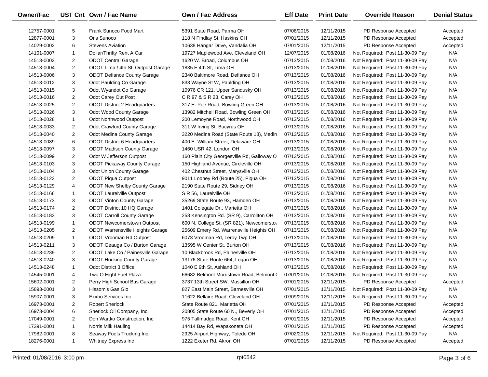| Owner/Fac  |                | UST Cnt Own / Fac Name               | <b>Own / Fac Address</b>                   | <b>Eff Date</b> | <b>Print Date</b> | <b>Override Reason</b>          | <b>Denial Status</b> |
|------------|----------------|--------------------------------------|--------------------------------------------|-----------------|-------------------|---------------------------------|----------------------|
| 12757-0001 | 5              | Frank Sunoco Food Mart               | 5391 State Road, Parma OH                  | 07/06/2015      | 12/11/2015        | PD Response Accepted            | Accepted             |
| 12877-0001 | 3              | Or's Sunoco                          | 118 N Findlay St, Haskins OH               | 07/01/2015      | 12/11/2015        | PD Response Accepted            | Accepted             |
| 14029-0002 | 6              | <b>Stevens Aviation</b>              | 10638 Hangar Drive, Vandalia OH            | 07/01/2015      | 12/11/2015        | PD Response Accepted            | Accepted             |
| 14101-0007 | $\mathbf{1}$   | Dollar/Thrifty Rent A Car            | 19727 Maplewood Ave, Cleveland OH          | 12/07/2015      | 01/08/2016        | Not Required: Post 11-30-09 Pay | N/A                  |
| 14513-0002 | $\overline{2}$ | <b>ODOT Central Garage</b>           | 1620 W. Broad, Columbus OH                 | 07/13/2015      | 01/08/2016        | Not Required: Post 11-30-09 Pay | N/A                  |
| 14513-0004 | 2              | ODOT Lima / 4th St. Outpost Garage   | 1835 E 4th St, Lima OH                     | 07/13/2015      | 01/08/2016        | Not Required: Post 11-30-09 Pay | N/A                  |
| 14513-0006 | 3              | <b>ODOT Defiance County Garage</b>   | 2340 Baltimore Road, Defiance OH           | 07/13/2015      | 01/08/2016        | Not Required: Post 11-30-09 Pay | N/A                  |
| 14513-0012 | 3              | Odot Paulding Co Garage              | 833 Wayne St W, Paulding OH                | 07/13/2015      | 01/08/2016        | Not Required: Post 11-30-09 Pay | N/A                  |
| 14513-0015 | 3              | Odot Wyandot Co Garage               | 10976 CR 121, Upper Sandusky OH            | 07/13/2015      | 01/08/2016        | Not Required: Post 11-30-09 Pay | N/A                  |
| 14513-0016 | 2              | Odot Carey Out Post                  | C R 97 & S R 23, Carey OH                  | 07/13/2015      | 01/08/2016        | Not Required: Post 11-30-09 Pay | N/A                  |
| 14513-0025 | $\overline{2}$ | <b>ODOT District 2 Headquarters</b>  | 317 E. Poe Road, Bowling Green OH          | 07/13/2015      | 01/08/2016        | Not Required: Post 11-30-09 Pay | N/A                  |
| 14513-0026 | 3              | Odot Wood County Garage              | 13982 Mitchell Road, Bowling Green OH      | 07/13/2015      | 01/08/2016        | Not Required: Post 11-30-09 Pay | N/A                  |
| 14513-0028 | 1              | Odot Northwood Outpost               | 200 Lemoyne Road, Northwood OH             | 07/13/2015      | 01/08/2016        | Not Required: Post 11-30-09 Pay | N/A                  |
| 14513-0033 | 2              | Odot Crawford County Garage          | 311 W Irving St, Bucyrus OH                | 07/13/2015      | 01/08/2016        | Not Required: Post 11-30-09 Pay | N/A                  |
| 14513-0040 | $\overline{2}$ | Odot Medina County Garage            | 3220 Medina Road (State Route 18), Medin   | 07/13/2015      | 01/08/2016        | Not Required: Post 11-30-09 Pay | N/A                  |
| 14513-0089 | 6              | <b>ODOT District 6 Headquarters</b>  | 400 E. William Street, Delaware OH         | 07/13/2015      | 01/08/2016        | Not Required: Post 11-30-09 Pay | N/A                  |
| 14513-0097 | 3              | <b>ODOT Madison County Garage</b>    | 1460 USR 42, London OH                     | 07/13/2015      | 01/08/2016        | Not Required: Post 11-30-09 Pay | N/A                  |
| 14513-0099 | 2              | Odot W Jefferson Outpost             | 160 Plain City Georgesville Rd, Galloway O | 07/13/2015      | 01/08/2016        | Not Required: Post 11-30-09 Pay | N/A                  |
| 14513-0103 | 3              | <b>ODOT Pickaway County Garage</b>   | 150 Highland Avenue, Circleville OH        | 07/13/2015      | 01/08/2016        | Not Required: Post 11-30-09 Pay | N/A                  |
| 14513-0104 | 3              | Odot Union County Garage             | 402 Chestnut Street, Marysville OH         | 07/13/2015      | 01/08/2016        | Not Required: Post 11-30-09 Pay | N/A                  |
| 14513-0123 | 2              | ODOT Piqua Outpost                   | 9011 Looney Rd (Route 25), Piqua OH        | 07/13/2015      | 01/08/2016        | Not Required: Post 11-30-09 Pay | N/A                  |
| 14513-0129 | 4              | <b>ODOT New Shelby County Garage</b> | 2190 State Route 29, Sidney OH             | 07/13/2015      | 01/08/2016        | Not Required: Post 11-30-09 Pay | N/A                  |
| 14513-0166 | 1              | <b>ODOT Laurelville Outpost</b>      | S R 56, Laurelville OH                     | 07/13/2015      | 01/08/2016        | Not Required: Post 11-30-09 Pay | N/A                  |
| 14513-0173 | 3              | <b>ODOT Vinton County Garage</b>     | 35269 State Route 93, Hamden OH            | 07/13/2015      | 01/08/2016        | Not Required: Post 11-30-09 Pay | N/A                  |
| 14513-0174 | 2              | ODOT District 10 HQ Garage           | 1401 Colegate Dr., Marietta OH             | 07/13/2015      | 01/08/2016        | Not Required: Post 11-30-09 Pay | N/A                  |
| 14513-0183 | 3              | <b>ODOT Carroll County Garage</b>    | 258 Kensington Rd. (SR 9), Carrollton OH   | 07/13/2015      | 01/08/2016        | Not Required: Post 11-30-09 Pay | N/A                  |
| 14513-0199 | 1              | <b>ODOT Newcomerstown Outpost</b>    | 600 N. College St. (SR 821), Newcomersto   | 07/13/2015      | 01/08/2016        | Not Required: Post 11-30-09 Pay | N/A                  |
| 14513-0205 | 2              | ODOT Warrensville Heights Garage     | 25609 Emery Rd, Warrensville Heights OH    | 07/13/2015      | 01/08/2016        | Not Required: Post 11-30-09 Pay | N/A                  |
| 14513-0209 | 1              | ODOT Vrooman Rd Outpost              | 6073 Vrooman Rd, Leroy Twp OH              | 07/13/2015      | 01/08/2016        | Not Required: Post 11-30-09 Pay | N/A                  |
| 14513-0211 | 3              | ODOT Geauga Co / Burton Garage       | 13595 W Center St, Burton OH               | 07/13/2015      | 01/08/2016        | Not Required: Post 11-30-09 Pay | N/A                  |
| 14513-0239 | 2              | ODOT Lake Co / Painesville Garage    | 10 Blackbrook Rd, Painesville OH           | 07/13/2015      | 01/08/2016        | Not Required: Post 11-30-09 Pay | N/A                  |
| 14513-0240 | 3              | <b>ODOT Hocking County Garage</b>    | 13176 State Route 664, Logan OH            | 07/13/2015      | 01/08/2016        | Not Required: Post 11-30-09 Pay | N/A                  |
| 14513-0248 | $\mathbf{1}$   | Odot District 3 Office               | 1040 E 9th St, Ashland OH                  | 07/13/2015      | 01/08/2016        | Not Required: Post 11-30-09 Pay | N/A                  |
| 14545-0001 | 4              | Two O Eight Fuel Plaza               | 66682 Belmont Morristown Road, Belmont (   | 07/01/2015      | 01/08/2016        | Not Required: Post 11-30-09 Pay | N/A                  |
| 15602-0001 | $\overline{2}$ | Perry High School Bus Garage         | 3737 13th Street SW, Massillon OH          | 07/01/2015      | 12/11/2015        | PD Response Accepted            | Accepted             |
| 15893-0001 | 3              | Hissom's Gas Glo                     | 827 East Main Street, Barnesville OH       | 07/01/2015      | 12/11/2015        | Not Required: Post 11-30-09 Pay | N/A                  |
| 15907-0001 | 3              | Exxbo Services Inc.                  | 11622 Bellaire Road, Cleveland OH          | 07/09/2015      | 12/11/2015        | Not Required: Post 11-30-09 Pay | N/A                  |
| 16973-0001 | 2              | <b>Robert Sherlock</b>               | State Route 821, Marietta OH               | 07/01/2015      | 12/11/2015        | PD Response Accepted            | Accepted             |
| 16973-0004 | 6              | Sherlock Oil Company, Inc.           | 20805 State Route 60 N., Beverly OH        | 07/01/2015      | 12/11/2015        | PD Response Accepted            | Accepted             |
| 17049-0001 | 2              | Don Wartko Construction, Inc.        | 975 Tallmadge Road, Kent OH                | 07/01/2015      | 12/11/2015        | PD Response Accepted            | Accepted             |
| 17391-0001 | 1              | Norris Milk Hauling                  | 14414 Bay Rd, Wapakoneta OH                | 07/01/2015      | 12/11/2015        | PD Response Accepted            | Accepted             |
| 17982-0001 | 8              | Seaway Fuels Trucking Inc.           | 2925 Airport Highway, Toledo OH            | 07/02/2015      | 12/11/2015        | Not Required: Post 11-30-09 Pay | N/A                  |
| 18276-0001 | $\mathbf{1}$   | Whitney Express Inc                  | 1222 Exeter Rd, Akron OH                   | 07/01/2015      | 12/11/2015        | PD Response Accepted            | Accepted             |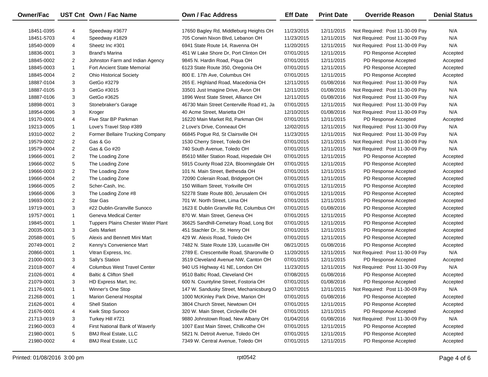| Owner/Fac  |                | UST Cnt Own / Fac Name             | Own / Fac Address                         | <b>Eff Date</b> | <b>Print Date</b> | <b>Override Reason</b>          | <b>Denial Status</b> |
|------------|----------------|------------------------------------|-------------------------------------------|-----------------|-------------------|---------------------------------|----------------------|
| 18451-0395 | 4              | Speedway #3677                     | 17650 Bagley Rd, Middleburg Heights OH    | 11/23/2015      | 12/11/2015        | Not Required: Post 11-30-09 Pay | N/A                  |
| 18451-5703 | 4              | Speedway #1829                     | 705 Corwin Nixon Blvd, Lebanon OH         | 11/23/2015      | 12/11/2015        | Not Required: Post 11-30-09 Pay | N/A                  |
| 18540-0009 | 4              | Sheetz Inc #301                    | 6941 State Route 14, Ravenna OH           | 11/20/2015      | 12/11/2015        | Not Required: Post 11-30-09 Pay | N/A                  |
| 18836-0001 | 3              | <b>Brand's Marina</b>              | 451 W Lake Shore Dr, Port Clinton OH      | 07/01/2015      | 12/11/2015        | PD Response Accepted            | Accepted             |
| 18845-0002 | $\overline{2}$ | Johnston Farm and Indian Agency    | 9845 N. Hardin Road, Piqua OH             | 07/01/2015      | 12/11/2015        | PD Response Accepted            | Accepted             |
| 18845-0003 | $\mathbf{1}$   | <b>Fort Ancient State Memorial</b> | 6123 State Route 350, Oregonia OH         | 07/01/2015      | 12/11/2015        | PD Response Accepted            | Accepted             |
| 18845-0004 | $\overline{2}$ | <b>Ohio Historical Society</b>     | 800 E. 17th Ave, Columbus OH              | 07/01/2015      | 12/11/2015        | PD Response Accepted            | Accepted             |
| 18887-0104 | 3              | GetGo #3279                        | 265 E. Highland Road, Macedonia OH        | 12/11/2015      | 01/08/2016        | Not Required: Post 11-30-09 Pay | N/A                  |
| 18887-0105 | 3              | GetGo #3015                        | 33501 Just Imagine Drive, Avon OH         | 12/11/2015      | 01/08/2016        | Not Required: Post 11-30-09 Pay | N/A                  |
| 18887-0106 | 3              | GetGo #3625                        | 1896 West State Street, Alliance OH       | 12/11/2015      | 01/08/2016        | Not Required: Post 11-30-09 Pay | N/A                  |
| 18898-0001 | 3              | Stonebraker's Garage               | 46730 Main Street Centerville Road #1, Ja | 07/01/2015      | 12/11/2015        | Not Required: Post 11-30-09 Pay | N/A                  |
| 18954-0096 | 3              | Kroger                             | 40 Acme Street, Marietta OH               | 12/10/2015      | 01/08/2016        | Not Required: Post 11-30-09 Pay | N/A                  |
| 19170-0001 | 4              | Five Star BP Parkman               | 16220 Main Market Rd, Parkman OH          | 07/01/2015      | 12/11/2015        | PD Response Accepted            | Accepted             |
| 19213-0005 | $\mathbf{1}$   | Love's Travel Stop #389            | 2 Love's Drive, Conneaut OH               | 12/02/2015      | 12/11/2015        | Not Required: Post 11-30-09 Pay | N/A                  |
| 19310-0002 | $\overline{2}$ | Former Bellaire Trucking Company   | 66845 Pogue Rd, St Clairsville OH         | 11/23/2015      | 12/11/2015        | Not Required: Post 11-30-09 Pay | N/A                  |
| 19579-0002 | $\overline{2}$ | Gas & Go                           | 1530 Cherry Street, Toledo OH             | 07/01/2015      | 12/11/2015        | Not Required: Post 11-30-09 Pay | N/A                  |
| 19579-0004 | $\overline{2}$ | Gas & Go #20                       | 740 South Avenue, Toledo OH               | 07/01/2015      | 12/11/2015        | Not Required: Post 11-30-09 Pay | N/A                  |
| 19666-0001 | $\overline{2}$ | The Loading Zone                   | 85610 Miller Station Road, Hopedale OH    | 07/01/2015      | 12/11/2015        | PD Response Accepted            | Accepted             |
| 19666-0002 | 5              | The Loading Zone                   | 5915 County Road 22A, Bloomingdale OH     | 07/01/2015      | 12/11/2015        | PD Response Accepted            | Accepted             |
| 19666-0003 | $\overline{2}$ | The Loading Zone                   | 101 N. Main Street, Bethesda OH           | 07/01/2015      | 12/11/2015        | PD Response Accepted            | Accepted             |
| 19666-0004 | $\overline{2}$ | The Loading Zone                   | 72090 Colerain Road, Bridgeport OH        | 07/01/2015      | 12/11/2015        | PD Response Accepted            | Accepted             |
| 19666-0005 | $\overline{2}$ | Scher-Cash, Inc.                   | 150 William Street, Yorkville OH          | 07/01/2015      | 12/11/2015        | PD Response Accepted            | Accepted             |
| 19666-0006 | 3              | The Loading Zone #8                | 52278 State Route 800, Jerusalem OH       | 07/01/2015      | 12/11/2015        | PD Response Accepted            | Accepted             |
| 19693-0001 | $\overline{2}$ | <b>Star Gas</b>                    | 701 W. North Street, Lima OH              | 07/01/2015      | 12/11/2015        | PD Response Accepted            | Accepted             |
| 19719-0001 | 3              | #22 Dublin-Granville Sunoco        | 1623 E Dublin Granville Rd, Columbus OH   | 07/01/2015      | 01/08/2016        | PD Response Accepted            | Accepted             |
| 19757-0001 | $\mathbf{1}$   | Geneva Medical Center              | 870 W. Main Street, Geneva OH             | 07/01/2015      | 12/11/2015        | PD Response Accepted            | Accepted             |
| 19845-0001 | $\mathbf{1}$   | Tuppers Plains Chester Water Plant | 36625 Sandhill-Cemetary Road, Long Bot    | 07/01/2015      | 12/11/2015        | PD Response Accepted            | Accepted             |
| 20035-0001 | 3              | <b>Gels Market</b>                 | 451 Stachler Dr., St. Henry OH            | 07/01/2015      | 12/11/2015        | PD Response Accepted            | Accepted             |
| 20588-0001 | 5              | Alexis and Bennett Mini Mart       | 429 W. Alexis Road, Toledo OH             | 07/01/2015      | 12/11/2015        | PD Response Accepted            | Accepted             |
| 20749-0001 | $\overline{2}$ | Kenny's Convenience Mart           | 7482 N. State Route 139, Lucasville OH    | 08/21/2015      | 01/08/2016        | PD Response Accepted            | Accepted             |
| 20866-0001 | $\mathbf{1}$   | Vitran Express, Inc.               | 2789 E. Crescentville Road, Sharonville O | 11/20/2015      | 12/11/2015        | Not Required: Post 11-30-09 Pay | N/A                  |
| 21000-0001 | 3              | Sally's Station                    | 3519 Cleveland Avenue NW, Canton OH       | 07/01/2015      | 12/11/2015        | PD Response Accepted            | Accepted             |
| 21018-0007 | 4              | <b>Columbus West Travel Center</b> | 940 US Highway 41 NE, London OH           | 11/23/2015      | 12/11/2015        | Not Required: Post 11-30-09 Pay | N/A                  |
| 21026-0001 | 4              | <b>Baltic &amp; Clifton Shell</b>  | 9510 Baltic Road, Cleveland OH            | 07/08/2015      | 01/08/2016        | PD Response Accepted            | Accepted             |
| 21079-0001 | 3              | HD Express Mart, Inc.              | 600 N. Countyline Street, Fostoria OH     | 07/01/2015      | 01/08/2016        | PD Response Accepted            | Accepted             |
| 21176-0001 | 1              | Winner's One Stop                  | 147 W. Sandusky Street, Mechanicsburg O   | 12/07/2015      | 12/11/2015        | Not Required: Post 11-30-09 Pay | N/A                  |
| 21268-0001 | -1             | <b>Marion General Hospital</b>     | 1000 McKinley Park Drive, Marion OH       | 07/01/2015      | 01/08/2016        | PD Response Accepted            | Accepted             |
| 21626-0001 | 4              | <b>Shell Station</b>               | 3804 Church Street, Newtown OH            | 07/01/2015      | 12/11/2015        | PD Response Accepted            | Accepted             |
| 21676-0001 | 4              | Kwik Stop Sunoco                   | 320 W. Main Street, Circleville OH        | 07/01/2015      | 12/11/2015        | PD Response Accepted            | Accepted             |
| 21713-0019 | 3              | Turkey Hill #721                   | 9880 Johnstown Road, New Albany OH        | 01/04/2016      | 01/08/2016        | Not Required: Post 11-30-09 Pay | N/A                  |
| 21960-0003 | 4              | First National Bank of Waverly     | 1007 East Main Street, Chillicothe OH     | 07/01/2015      | 12/11/2015        | PD Response Accepted            | Accepted             |
| 21980-0001 | 5              | <b>BMJ Real Estate, LLC</b>        | 5821 N. Detroit Avenue, Toledo OH         | 07/01/2015      | 12/11/2015        | PD Response Accepted            | Accepted             |
| 21980-0002 | 4              | <b>BMJ Real Estate, LLC</b>        | 7349 W. Central Avenue, Toledo OH         | 07/01/2015      | 12/11/2015        | PD Response Accepted            | Accepted             |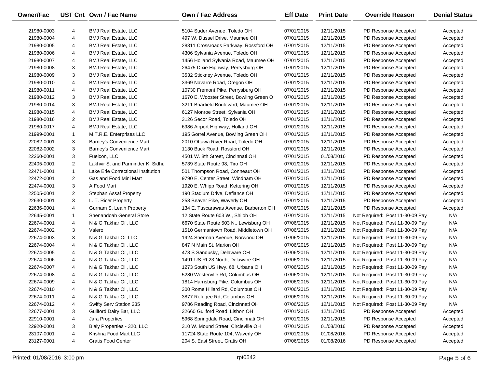| Owner/Fac                |   | UST Cnt Own / Fac Name                                     | Own / Fac Address                                              | <b>Eff Date</b>          | <b>Print Date</b>        | <b>Override Reason</b>                       | <b>Denial Status</b> |
|--------------------------|---|------------------------------------------------------------|----------------------------------------------------------------|--------------------------|--------------------------|----------------------------------------------|----------------------|
|                          |   |                                                            |                                                                | 07/01/2015               | 12/11/2015               | PD Response Accepted                         |                      |
| 21980-0003               | 4 | <b>BMJ Real Estate, LLC</b><br><b>BMJ Real Estate, LLC</b> | 5104 Suder Avenue, Toledo OH<br>497 W. Dussel Drive, Maumee OH |                          |                          |                                              | Accepted             |
| 21980-0004<br>21980-0005 | 4 | <b>BMJ Real Estate, LLC</b>                                | 28311 Crossroads Parkway, Rossford OH                          | 07/01/2015<br>07/01/2015 | 12/11/2015<br>12/11/2015 | PD Response Accepted<br>PD Response Accepted | Accepted             |
|                          | 4 | <b>BMJ Real Estate, LLC</b>                                |                                                                |                          | 12/11/2015               | PD Response Accepted                         | Accepted             |
| 21980-0006               | 4 |                                                            | 4306 Sylvania Avenue, Toledo OH                                | 07/01/2015               |                          |                                              | Accepted             |
| 21980-0007               | 4 | <b>BMJ Real Estate, LLC</b>                                | 1456 Holland Sylvania Road, Maumee OH                          | 07/01/2015               | 12/11/2015               | PD Response Accepted                         | Accepted             |
| 21980-0008               | 3 | <b>BMJ Real Estate, LLC</b>                                | 26475 Dixie Highway, Perrysburg OH                             | 07/01/2015               | 12/11/2015               | PD Response Accepted                         | Accepted             |
| 21980-0009               | 3 | <b>BMJ Real Estate, LLC</b>                                | 3532 Stickney Avenue, Toledo OH                                | 07/01/2015               | 12/11/2015               | PD Response Accepted                         | Accepted             |
| 21980-0010               | 4 | <b>BMJ Real Estate, LLC</b>                                | 3369 Navarre Road, Oregon OH                                   | 07/01/2015               | 12/11/2015               | PD Response Accepted                         | Accepted             |
| 21980-0011               | 4 | <b>BMJ Real Estate, LLC</b>                                | 10730 Fremont Pike, Perrysburg OH                              | 07/01/2015               | 12/11/2015               | PD Response Accepted                         | Accepted             |
| 21980-0012               | 3 | <b>BMJ Real Estate, LLC</b>                                | 1670 E. Wooster Street, Bowling Green O                        | 07/01/2015               | 12/11/2015               | PD Response Accepted                         | Accepted             |
| 21980-0014               | 3 | <b>BMJ Real Estate, LLC</b>                                | 3211 Briarfield Boulevard, Maumee OH                           | 07/01/2015               | 12/11/2015               | PD Response Accepted                         | Accepted             |
| 21980-0015               | 4 | <b>BMJ Real Estate, LLC</b>                                | 6127 Monroe Street, Sylvania OH                                | 07/01/2015               | 12/11/2015               | PD Response Accepted                         | Accepted             |
| 21980-0016               | 2 | <b>BMJ Real Estate, LLC</b>                                | 3126 Secor Road, Toledo OH                                     | 07/01/2015               | 12/11/2015               | PD Response Accepted                         | Accepted             |
| 21980-0017               | 4 | <b>BMJ Real Estate, LLC</b>                                | 6986 Airport Highway, Holland OH                               | 07/01/2015               | 12/11/2015               | PD Response Accepted                         | Accepted             |
| 21999-0001               | 1 | M.T.R.E. Enterprises LLC                                   | 195 Gorrel Avenue, Bowling Green OH                            | 07/01/2015               | 12/11/2015               | PD Response Accepted                         | Accepted             |
| 22082-0001               | 3 | Barney's Convenience Mart                                  | 2010 Ottawa River Road, Toledo OH                              | 07/01/2015               | 12/11/2015               | PD Response Accepted                         | Accepted             |
| 22082-0002               | 3 | Barney's Convenience Mart                                  | 1130 Buck Road, Rossford OH                                    | 07/01/2015               | 12/11/2015               | PD Response Accepted                         | Accepted             |
| 22260-0001               | 3 | Fuelcon, LLC                                               | 4501 W. 8th Street, Cincinnati OH                              | 07/01/2015               | 01/08/2016               | PD Response Accepted                         | Accepted             |
| 22405-0001               | 2 | Lakhvir S. and Parminder K. Sidhu                          | 5739 State Route 98, Tiro OH                                   | 07/01/2015               | 12/11/2015               | PD Response Accepted                         | Accepted             |
| 22471-0001               | 1 | Lake Erie Correctional Institution                         | 501 Thompson Road, Conneaut OH                                 | 07/01/2015               | 12/11/2015               | PD Response Accepted                         | Accepted             |
| 22472-0001               | 2 | Gas and Food Mini Mart                                     | 9790 E. Center Street, Windham OH                              | 07/01/2015               | 12/11/2015               | PD Response Accepted                         | Accepted             |
| 22474-0001               | 3 | A Food Mart                                                | 1920 E. Whipp Road, Kettering OH                               | 07/01/2015               | 12/11/2015               | PD Response Accepted                         | Accepted             |
| 22505-0001               | 2 | <b>Stephan Assaf Property</b>                              | 190 Stadium Drive, Defiance OH                                 | 07/01/2015               | 12/11/2015               | PD Response Accepted                         | Accepted             |
| 22630-0001               | 3 | L. T. Ricer Property                                       | 258 Beaver Pike, Waverly OH                                    | 07/01/2015               | 12/11/2015               | PD Response Accepted                         | Accepted             |
| 22636-0001               | 4 | Gurnam S. Lealh Property                                   | 134 E. Tuscarawas Avenue, Barberton OH                         | 07/06/2015               | 12/11/2015               | PD Response Accepted                         | Accepted             |
| 22645-0001               | 1 | Shenandoah General Store                                   | 12 State Route 603 W., Shiloh OH                               | 07/01/2015               | 12/11/2015               | Not Required: Post 11-30-09 Pay              | N/A                  |
| 22674-0001               | 4 | N & G Takhar Oil, LLC                                      | 6670 State Route 503 N., Lewisburg OH                          | 07/06/2015               | 12/11/2015               | Not Required: Post 11-30-09 Pay              | N/A                  |
| 22674-0002               | 3 | Valero                                                     | 1510 Germantown Road, Middletown OH                            | 07/06/2015               | 12/11/2015               | Not Required: Post 11-30-09 Pay              | N/A                  |
| 22674-0003               | 3 | N & G Takhar Oil LLC                                       | 1924 Sherman Avenue, Norwood OH                                | 07/06/2015               | 12/11/2015               | Not Required: Post 11-30-09 Pay              | N/A                  |
| 22674-0004               | 4 | N & G Takhar Oil, LLC                                      | 847 N Main St, Marion OH                                       | 07/06/2015               | 12/11/2015               | Not Required: Post 11-30-09 Pay              | N/A                  |
| 22674-0005               | 4 | N & G Takhar Oil, LLC                                      | 473 S Sandusky, Delaware OH                                    | 07/06/2015               | 12/11/2015               | Not Required: Post 11-30-09 Pay              | N/A                  |
| 22674-0006               | 4 | N & G Takhar Oil, LLC                                      | 1491 US Rt 23 North, Delaware OH                               | 07/06/2015               | 12/11/2015               | Not Required: Post 11-30-09 Pay              | N/A                  |
| 22674-0007               | 4 | N & G Takhar Oil, LLC                                      | 1273 South US Hwy. 68, Urbana OH                               | 07/06/2015               | 12/11/2015               | Not Required: Post 11-30-09 Pay              | N/A                  |
| 22674-0008               | 4 | N & G Takhar Oil, LLC                                      | 5280 Westerville Rd, Columbus OH                               | 07/06/2015               | 12/11/2015               | Not Required: Post 11-30-09 Pay              | N/A                  |
| 22674-0009               | 4 | N & G Takhar Oil, LLC                                      | 1814 Harrisburg Pike, Columbus OH                              | 07/06/2015               | 12/11/2015               | Not Required: Post 11-30-09 Pay              | N/A                  |
| 22674-0010               | 4 | N & G Takhar Oil, LLC                                      | 300 Rome Hillard Rd, Columbus OH                               | 07/06/2015               | 12/11/2015               | Not Required: Post 11-30-09 Pay              | N/A                  |
| 22674-0011               | 4 | N & G Takhar Oil, LLC                                      | 3877 Refugee Rd, Columbus OH                                   | 07/06/2015               | 12/11/2015               | Not Required: Post 11-30-09 Pay              | N/A                  |
| 22674-0012               | 4 | Swifty Serv Station 235                                    | 9786 Reading Road, Cincinnati OH                               | 07/06/2015               | 12/11/2015               | Not Required: Post 11-30-09 Pay              | N/A                  |
| 22677-0001               | 3 | Guilford Dairy Bar, LLC                                    | 32660 Guilford Road, Lisbon OH                                 | 07/01/2015               | 12/11/2015               | PD Response Accepted                         | Accepted             |
| 22910-0001               | 4 | Jara Properties                                            | 5968 Springdale Road, Cincinnati OH                            | 07/01/2015               | 12/11/2015               | PD Response Accepted                         | Accepted             |
| 22920-0001               | 3 | Bialy Properties - 320, LLC                                | 310 W. Mound Street, Circleville OH                            | 07/01/2015               | 01/08/2016               | PD Response Accepted                         | Accepted             |
| 23107-0001               | 4 | Krishna Food Mart LLC                                      | 11724 State Route 104, Waverly OH                              | 07/01/2015               | 01/08/2016               | PD Response Accepted                         | Accepted             |
| 23127-0001               | 4 | <b>Gratis Food Center</b>                                  | 204 S. East Street, Gratis OH                                  | 07/06/2015               | 01/08/2016               | PD Response Accepted                         | Accepted             |
|                          |   |                                                            |                                                                |                          |                          |                                              |                      |